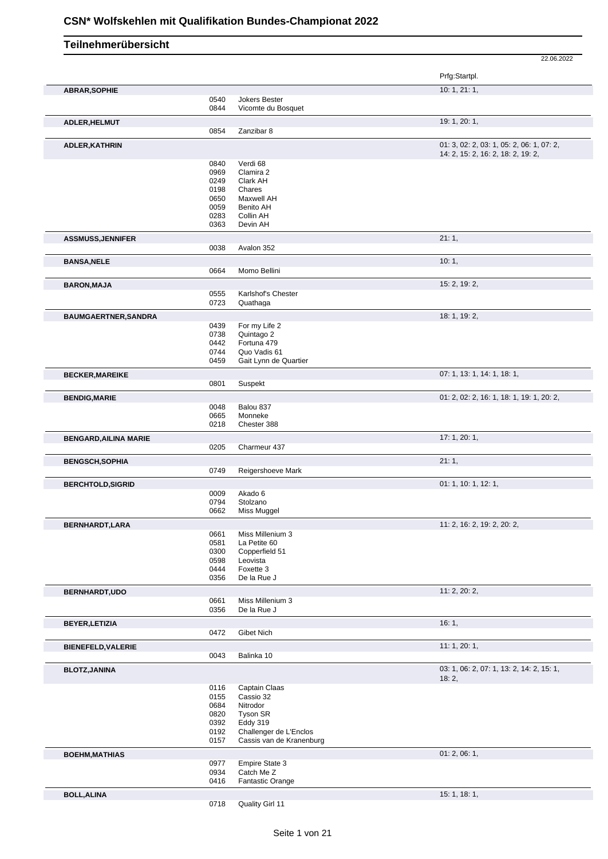|                              |              |                                                    | 22.06.2022                                                                      |
|------------------------------|--------------|----------------------------------------------------|---------------------------------------------------------------------------------|
|                              |              |                                                    | Prfg:Startpl.                                                                   |
| <b>ABRAR, SOPHIE</b>         |              |                                                    | 10: 1, 21: 1,                                                                   |
|                              | 0540         | Jokers Bester                                      |                                                                                 |
|                              | 0844         | Vicomte du Bosquet                                 |                                                                                 |
| ADLER, HELMUT                |              |                                                    | 19: 1, 20: 1,                                                                   |
|                              | 0854         | Zanzibar 8                                         |                                                                                 |
| <b>ADLER, KATHRIN</b>        |              |                                                    | 01: 3, 02: 2, 03: 1, 05: 2, 06: 1, 07: 2,<br>14: 2, 15: 2, 16: 2, 18: 2, 19: 2, |
|                              | 0840         | Verdi 68                                           |                                                                                 |
|                              | 0969         | Clamira 2                                          |                                                                                 |
|                              | 0249         | Clark AH                                           |                                                                                 |
|                              | 0198         | Chares                                             |                                                                                 |
|                              | 0650         | Maxwell AH                                         |                                                                                 |
|                              | 0059<br>0283 | Benito AH<br>Collin AH                             |                                                                                 |
|                              | 0363         | Devin AH                                           |                                                                                 |
| <b>ASSMUSS, JENNIFER</b>     |              |                                                    | 21:1,                                                                           |
|                              | 0038         | Avalon 352                                         |                                                                                 |
| <b>BANSA, NELE</b>           |              |                                                    | 10:1,                                                                           |
|                              | 0664         | Momo Bellini                                       |                                                                                 |
| <b>BARON, MAJA</b>           |              |                                                    | 15: 2, 19: 2,                                                                   |
|                              | 0555         | Karlshof's Chester                                 |                                                                                 |
|                              | 0723         | Quathaga                                           |                                                                                 |
| BAUMGAERTNER, SANDRA         |              |                                                    | 18: 1, 19: 2,                                                                   |
|                              | 0439         | For my Life 2                                      |                                                                                 |
|                              | 0738         | Quintago 2                                         |                                                                                 |
|                              | 0442         | Fortuna 479                                        |                                                                                 |
|                              | 0744<br>0459 | Quo Vadis 61<br>Gait Lynn de Quartier              |                                                                                 |
|                              |              |                                                    |                                                                                 |
| <b>BECKER, MAREIKE</b>       | 0801         | Suspekt                                            | 07: 1, 13: 1, 14: 1, 18: 1,                                                     |
|                              |              |                                                    |                                                                                 |
| <b>BENDIG, MARIE</b>         |              |                                                    | 01: 2, 02: 2, 16: 1, 18: 1, 19: 1, 20: 2,                                       |
|                              | 0048<br>0665 | Balou 837<br>Monneke                               |                                                                                 |
|                              | 0218         | Chester 388                                        |                                                                                 |
|                              |              |                                                    | 17: 1, 20: 1,                                                                   |
| <b>BENGARD, AILINA MARIE</b> | 0205         | Charmeur 437                                       |                                                                                 |
| <b>BENGSCH, SOPHIA</b>       |              |                                                    | 21:1,                                                                           |
|                              | 0749         | Reigershoeve Mark                                  |                                                                                 |
| <b>BERCHTOLD, SIGRID</b>     |              |                                                    | 01: 1, 10: 1, 12: 1,                                                            |
|                              | 0009         | Akado 6                                            |                                                                                 |
|                              | 0794         | Stolzano                                           |                                                                                 |
|                              | 0662         | Miss Muggel                                        |                                                                                 |
| BERNHARDT, LARA              |              |                                                    | 11: 2, 16: 2, 19: 2, 20: 2,                                                     |
|                              | 0661         | Miss Millenium 3                                   |                                                                                 |
|                              | 0581         | La Petite 60                                       |                                                                                 |
|                              | 0300         | Copperfield 51                                     |                                                                                 |
|                              | 0598<br>0444 | Leovista<br>Foxette 3                              |                                                                                 |
|                              | 0356         | De la Rue J                                        |                                                                                 |
| <b>BERNHARDT,UDO</b>         |              |                                                    | 11: 2, 20: 2,                                                                   |
|                              | 0661         | Miss Millenium 3                                   |                                                                                 |
|                              | 0356         | De la Rue J                                        |                                                                                 |
| <b>BEYER, LETIZIA</b>        |              |                                                    | 16:1,                                                                           |
|                              | 0472         | Gibet Nich                                         |                                                                                 |
| <b>BIENEFELD, VALERIE</b>    |              |                                                    | 11: 1, 20: 1,                                                                   |
|                              | 0043         | Balinka 10                                         |                                                                                 |
| <b>BLOTZ, JANINA</b>         |              |                                                    | 03: 1, 06: 2, 07: 1, 13: 2, 14: 2, 15: 1,                                       |
|                              |              |                                                    | 18:2,                                                                           |
|                              | 0116         | Captain Claas                                      |                                                                                 |
|                              | 0155         | Cassio 32                                          |                                                                                 |
|                              | 0684         | Nitrodor                                           |                                                                                 |
|                              | 0820         | Tyson SR                                           |                                                                                 |
|                              | 0392         | Eddy 319                                           |                                                                                 |
|                              | 0192<br>0157 | Challenger de L'Enclos<br>Cassis van de Kranenburg |                                                                                 |
|                              |              |                                                    | 01: 2, 06: 1,                                                                   |
| <b>BOEHM, MATHIAS</b>        | 0977         | <b>Empire State 3</b>                              |                                                                                 |
|                              | 0934         | Catch Me Z                                         |                                                                                 |
|                              | 0416         | Fantastic Orange                                   |                                                                                 |
| <b>BOLL, ALINA</b>           |              |                                                    | 15:1, 18:1,                                                                     |
|                              | 0718         | Quality Girl 11                                    |                                                                                 |
|                              |              |                                                    |                                                                                 |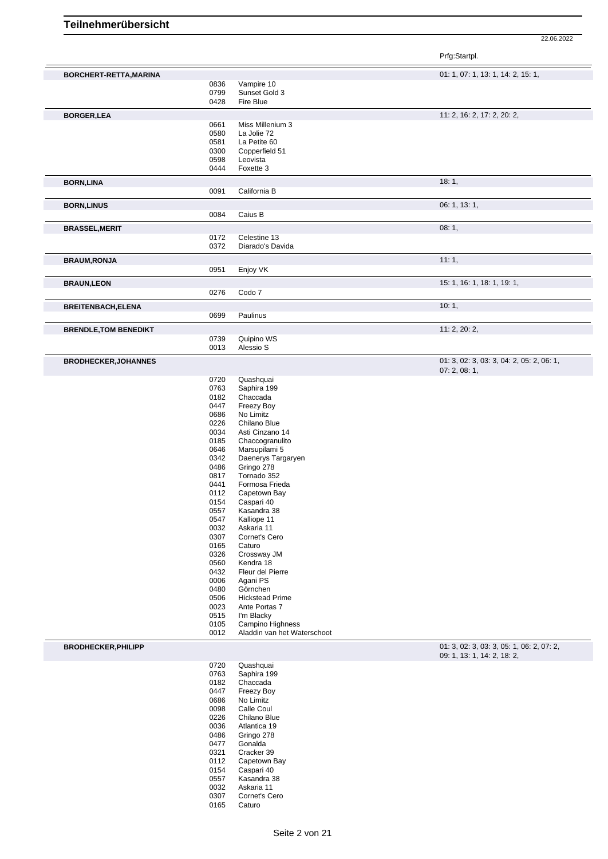22.06.2022

Prfg:Startpl.

| BORCHERT-RETTA, MARINA       |              |                             | 01: 1, 07: 1, 13: 1, 14: 2, 15: 1,                      |
|------------------------------|--------------|-----------------------------|---------------------------------------------------------|
|                              | 0836         | Vampire 10                  |                                                         |
|                              | 0799         | Sunset Gold 3               |                                                         |
|                              | 0428         | Fire Blue                   |                                                         |
| <b>BORGER,LEA</b>            |              |                             | 11: 2, 16: 2, 17: 2, 20: 2,                             |
|                              | 0661         | Miss Millenium 3            |                                                         |
|                              | 0580         | La Jolie 72                 |                                                         |
|                              | 0581         | La Petite 60                |                                                         |
|                              | 0300         | Copperfield 51              |                                                         |
|                              | 0598         | Leovista                    |                                                         |
|                              | 0444         | Foxette 3                   |                                                         |
| <b>BORN,LINA</b>             |              |                             | 18:1,                                                   |
|                              | 0091         | California B                |                                                         |
|                              |              |                             |                                                         |
| <b>BORN,LINUS</b>            |              |                             | 06: 1, 13: 1,                                           |
|                              | 0084         | Caius B                     |                                                         |
| <b>BRASSEL, MERIT</b>        |              |                             | 08:1,                                                   |
|                              | 0172         | Celestine 13                |                                                         |
|                              | 0372         | Diarado's Davida            |                                                         |
| <b>BRAUM, RONJA</b>          |              |                             | 11:1,                                                   |
|                              | 0951         | Enjoy VK                    |                                                         |
|                              |              |                             |                                                         |
| <b>BRAUN,LEON</b>            |              |                             | 15: 1, 16: 1, 18: 1, 19: 1,                             |
|                              | 0276         | Codo 7                      |                                                         |
| <b>BREITENBACH, ELENA</b>    |              |                             | 10:1,                                                   |
|                              | 0699         | Paulinus                    |                                                         |
| <b>BRENDLE, TOM BENEDIKT</b> |              |                             | 11: 2, 20: 2,                                           |
|                              | 0739         | Quipino WS                  |                                                         |
|                              | 0013         | Alessio S                   |                                                         |
|                              |              |                             |                                                         |
| <b>BRODHECKER, JOHANNES</b>  |              |                             | 01: 3, 02: 3, 03: 3, 04: 2, 05: 2, 06: 1,<br>07:2,08:1, |
|                              | 0720         | Quashquai                   |                                                         |
|                              | 0763         | Saphira 199                 |                                                         |
|                              | 0182         | Chaccada                    |                                                         |
|                              | 0447         | Freezy Boy                  |                                                         |
|                              | 0686         | No Limitz                   |                                                         |
|                              | 0226         | Chilano Blue                |                                                         |
|                              | 0034         | Asti Cinzano 14             |                                                         |
|                              | 0185         | Chaccogranulito             |                                                         |
|                              | 0646         | Marsupilami 5               |                                                         |
|                              | 0342         | Daenerys Targaryen          |                                                         |
|                              | 0486         | Gringo 278                  |                                                         |
|                              | 0817         | Tornado 352                 |                                                         |
|                              | 0441         | Formosa Frieda              |                                                         |
|                              | 0112         | Capetown Bay                |                                                         |
|                              | 0154         | Caspari 40                  |                                                         |
|                              | 0557         | Kasandra 38                 |                                                         |
|                              | 0547         | Kalliope 11                 |                                                         |
|                              | 0032         | Askaria 11                  |                                                         |
|                              | 0307         | Cornet's Cero               |                                                         |
|                              | 0165         | Caturo                      |                                                         |
|                              | 0326         | Crossway JM                 |                                                         |
|                              | 0560         | Kendra 18                   |                                                         |
|                              | 0432         | Fleur del Pierre            |                                                         |
|                              | 0006         | Agani PS                    |                                                         |
|                              | 0480         | Görnchen                    |                                                         |
|                              | 0506         | <b>Hickstead Prime</b>      |                                                         |
|                              | 0023         | Ante Portas 7               |                                                         |
|                              | 0515         | I'm Blacky                  |                                                         |
|                              | 0105         | Campino Highness            |                                                         |
|                              | 0012         | Aladdin van het Waterschoot |                                                         |
| <b>BRODHECKER, PHILIPP</b>   |              |                             | 01: 3, 02: 3, 03: 3, 05: 1, 06: 2, 07: 2,               |
|                              |              |                             | 09: 1, 13: 1, 14: 2, 18: 2,                             |
|                              | 0720         | Quashquai                   |                                                         |
|                              | 0763         | Saphira 199                 |                                                         |
|                              | 0182         | Chaccada                    |                                                         |
|                              | 0447         | Freezy Boy                  |                                                         |
|                              | 0686         | No Limitz                   |                                                         |
|                              | 0098         | Calle Coul                  |                                                         |
|                              | 0226         | Chilano Blue                |                                                         |
|                              | 0036         | Atlantica 19                |                                                         |
|                              | 0486         | Gringo 278                  |                                                         |
|                              | 0477         | Gonalda                     |                                                         |
|                              | 0321         | Cracker 39                  |                                                         |
|                              | 0112         | Capetown Bay                |                                                         |
|                              | 0154         | Caspari 40                  |                                                         |
|                              | 0557         | Kasandra 38                 |                                                         |
|                              | 0032<br>0307 | Askaria 11<br>Cornet's Cero |                                                         |
|                              | 0165         | Caturo                      |                                                         |
|                              |              |                             |                                                         |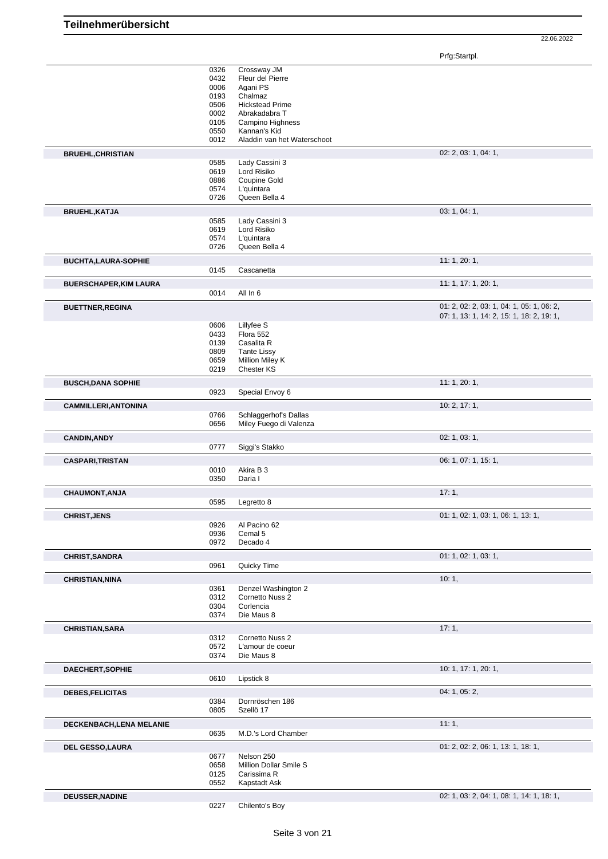Prfg:Startpl.

|                               | 0326 | Crossway JM                 |                                           |
|-------------------------------|------|-----------------------------|-------------------------------------------|
|                               | 0432 | Fleur del Pierre            |                                           |
|                               |      |                             |                                           |
|                               | 0006 | Agani PS                    |                                           |
|                               | 0193 | Chalmaz                     |                                           |
|                               | 0506 | <b>Hickstead Prime</b>      |                                           |
|                               | 0002 | Abrakadabra T               |                                           |
|                               | 0105 | Campino Highness            |                                           |
|                               | 0550 | Kannan's Kid                |                                           |
|                               | 0012 | Aladdin van het Waterschoot |                                           |
|                               |      |                             |                                           |
| <b>BRUEHL, CHRISTIAN</b>      |      |                             | 02: 2, 03: 1, 04: 1,                      |
|                               | 0585 | Lady Cassini 3              |                                           |
|                               | 0619 | Lord Risiko                 |                                           |
|                               | 0886 | Coupine Gold                |                                           |
|                               | 0574 | L'quintara                  |                                           |
|                               | 0726 | Queen Bella 4               |                                           |
|                               |      |                             |                                           |
| <b>BRUEHL, KATJA</b>          |      |                             | 03: 1, 04: 1,                             |
|                               | 0585 | Lady Cassini 3              |                                           |
|                               | 0619 | Lord Risiko                 |                                           |
|                               | 0574 | L'quintara                  |                                           |
|                               | 0726 | Queen Bella 4               |                                           |
|                               |      |                             |                                           |
| <b>BUCHTA, LAURA-SOPHIE</b>   | 0145 | Cascanetta                  | 11:1,20:1,                                |
|                               |      |                             |                                           |
| <b>BUERSCHAPER, KIM LAURA</b> |      |                             | 11: 1, 17: 1, 20: 1,                      |
|                               | 0014 | All In 6                    |                                           |
| <b>BUETTNER, REGINA</b>       |      |                             | 01: 2, 02: 2, 03: 1, 04: 1, 05: 1, 06: 2, |
|                               |      |                             | 07: 1, 13: 1, 14: 2, 15: 1, 18: 2, 19: 1, |
|                               |      |                             |                                           |
|                               | 0606 | Lillyfee S                  |                                           |
|                               | 0433 | Flora 552                   |                                           |
|                               | 0139 | Casalita R                  |                                           |
|                               | 0809 | <b>Tante Lissy</b>          |                                           |
|                               | 0659 | Million Miley K             |                                           |
|                               | 0219 | <b>Chester KS</b>           |                                           |
| <b>BUSCH, DANA SOPHIE</b>     |      |                             | 11: 1, 20: 1,                             |
|                               | 0923 | Special Envoy 6             |                                           |
|                               |      |                             |                                           |
| <b>CAMMILLERI, ANTONINA</b>   |      |                             | 10: 2, 17: 1,                             |
|                               | 0766 | Schlaggerhof's Dallas       |                                           |
|                               | 0656 | Miley Fuego di Valenza      |                                           |
|                               |      |                             |                                           |
| <b>CANDIN, ANDY</b>           |      |                             | 02: 1, 03: 1,                             |
|                               | 0777 | Siggi's Stakko              |                                           |
| <b>CASPARI, TRISTAN</b>       |      |                             | 06: 1, 07: 1, 15: 1,                      |
|                               | 0010 | Akira B 3                   |                                           |
|                               |      |                             |                                           |
|                               | 0350 | Daria I                     |                                           |
| CHAUMONT, ANJA                |      |                             | 17:1,                                     |
|                               | 0595 | Legretto 8                  |                                           |
|                               |      |                             | 01: 1, 02: 1, 03: 1, 06: 1, 13: 1,        |
| <b>CHRIST, JENS</b>           |      |                             |                                           |
|                               | 0926 | Al Pacino 62                |                                           |
|                               | 0936 | Cemal 5                     |                                           |
|                               | 0972 | Decado 4                    |                                           |
| <b>CHRIST, SANDRA</b>         |      |                             | 01: 1, 02: 1, 03: 1,                      |
|                               | 0961 | Quicky Time                 |                                           |
|                               |      |                             |                                           |
| <b>CHRISTIAN, NINA</b>        |      |                             | 10:1,                                     |
|                               |      |                             |                                           |
|                               | 0361 | Denzel Washington 2         |                                           |
|                               | 0312 | Cornetto Nuss 2             |                                           |
|                               | 0304 | Corlencia                   |                                           |
|                               | 0374 | Die Maus 8                  |                                           |
|                               |      |                             |                                           |
|                               |      |                             | 17:1,                                     |
|                               | 0312 | Cornetto Nuss 2             |                                           |
|                               | 0572 | L'amour de coeur            |                                           |
|                               | 0374 | Die Maus 8                  |                                           |
| <b>DAECHERT, SOPHIE</b>       |      |                             | 10: 1, 17: 1, 20: 1,                      |
|                               | 0610 | Lipstick 8                  |                                           |
|                               |      |                             |                                           |
| DEBES, FELICITAS              |      |                             | 04:1, 05:2,                               |
|                               | 0384 | Dornröschen 186             |                                           |
| <b>CHRISTIAN, SARA</b>        | 0805 | Szellö 17                   |                                           |
| DECKENBACH, LENA MELANIE      |      |                             | 11:1,                                     |
|                               | 0635 | M.D.'s Lord Chamber         |                                           |
|                               |      |                             |                                           |
| <b>DEL GESSO, LAURA</b>       |      |                             | 01: 2, 02: 2, 06: 1, 13: 1, 18: 1,        |
|                               | 0677 | Nelson 250                  |                                           |
|                               | 0658 | Million Dollar Smile S      |                                           |
|                               | 0125 | Carissima R                 |                                           |
|                               | 0552 | Kapstadt Ask                |                                           |
| <b>DEUSSER, NADINE</b>        |      | Chilento's Boy              | 02: 1, 03: 2, 04: 1, 08: 1, 14: 1, 18: 1, |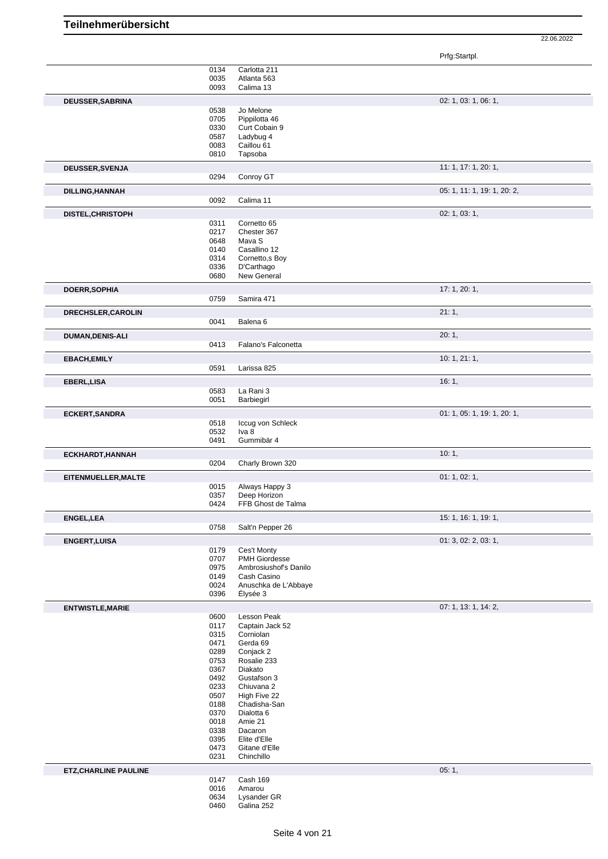|                              |              |                                     | Prfg:Startpl.               |
|------------------------------|--------------|-------------------------------------|-----------------------------|
|                              | 0134         | Carlotta 211                        |                             |
|                              | 0035         | Atlanta 563                         |                             |
|                              | 0093         | Calima 13                           |                             |
| DEUSSER, SABRINA             |              |                                     | 02: 1, 03: 1, 06: 1,        |
|                              | 0538         | Jo Melone                           |                             |
|                              | 0705         | Pippilotta 46                       |                             |
|                              | 0330         | Curt Cobain 9                       |                             |
|                              | 0587         | Ladybug 4                           |                             |
|                              | 0083         | Caillou 61                          |                             |
|                              | 0810         | Tapsoba                             |                             |
| DEUSSER, SVENJA              |              |                                     | 11: 1, 17: 1, 20: 1,        |
|                              | 0294         | Conroy GT                           |                             |
| DILLING, HANNAH              |              |                                     | 05: 1, 11: 1, 19: 1, 20: 2, |
|                              | 0092         | Calima 11                           |                             |
|                              |              |                                     |                             |
| DISTEL, CHRISTOPH            |              |                                     | 02: 1, 03: 1,               |
|                              | 0311<br>0217 | Cornetto 65<br>Chester 367          |                             |
|                              | 0648         | Mava S                              |                             |
|                              | 0140         | Casallino 12                        |                             |
|                              | 0314         | Cornetto, s Boy                     |                             |
|                              | 0336         | D'Carthago                          |                             |
|                              | 0680         | New General                         |                             |
| <b>DOERR, SOPHIA</b>         |              |                                     | 17: 1, 20: 1,               |
|                              | 0759         | Samira 471                          |                             |
|                              |              |                                     |                             |
| DRECHSLER, CAROLIN           |              | Balena <sub>6</sub>                 | 21:1,                       |
|                              | 0041         |                                     |                             |
| DUMAN, DENIS-ALI             |              |                                     | 20:1,                       |
|                              | 0413         | Falano's Falconetta                 |                             |
| <b>EBACH, EMILY</b>          |              |                                     | 10: 1, 21: 1,               |
|                              | 0591         | Larissa 825                         |                             |
| EBERL, LISA                  |              |                                     | 16:1,                       |
|                              | 0583         | La Rani 3                           |                             |
|                              | 0051         | Barbiegirl                          |                             |
|                              |              |                                     |                             |
| <b>ECKERT, SANDRA</b>        | 0518         | Iccug von Schleck                   | 01: 1, 05: 1, 19: 1, 20: 1, |
|                              | 0532         | Iva 8                               |                             |
|                              | 0491         | Gummibär 4                          |                             |
|                              |              |                                     |                             |
| ECKHARDT, HANNAH             |              | Charly Brown 320                    | 10:1,                       |
|                              | 0204         |                                     |                             |
| EITENMUELLER, MALTE          |              |                                     | 01: 1, 02: 1,               |
|                              | 0015         | Always Happy 3                      |                             |
|                              | 0357<br>0424 | Deep Horizon<br>FFB Ghost de Talma  |                             |
|                              |              |                                     |                             |
| <b>ENGEL, LEA</b>            |              |                                     | 15: 1, 16: 1, 19: 1,        |
|                              | 0758         | Salt'n Pepper 26                    |                             |
| <b>ENGERT, LUISA</b>         |              |                                     | 01: 3, 02: 2, 03: 1,        |
|                              | 0179         | Ces't Monty                         |                             |
|                              | 0707         | <b>PMH Giordesse</b>                |                             |
|                              | 0975         | Ambrosiushof's Danilo               |                             |
|                              | 0149         | Cash Casino<br>Anuschka de L'Abbaye |                             |
|                              | 0024<br>0396 | Élysée 3                            |                             |
|                              |              |                                     |                             |
| <b>ENTWISTLE, MARIE</b>      |              |                                     | 07: 1, 13: 1, 14: 2,        |
|                              | 0600         | Lesson Peak                         |                             |
|                              | 0117<br>0315 | Captain Jack 52<br>Corniolan        |                             |
|                              | 0471         | Gerda 69                            |                             |
|                              | 0289         | Conjack 2                           |                             |
|                              | 0753         | Rosalie 233                         |                             |
|                              | 0367         | Diakato                             |                             |
|                              | 0492         | Gustafson 3                         |                             |
|                              | 0233         | Chiuvana 2                          |                             |
|                              | 0507         | High Five 22                        |                             |
|                              | 0188         | Chadisha-San                        |                             |
|                              | 0370         | Dialotta <sub>6</sub>               |                             |
|                              | 0018         | Amie 21                             |                             |
|                              | 0338<br>0395 | Dacaron<br>Elite d'Elle             |                             |
|                              | 0473         | Gitane d'Elle                       |                             |
|                              | 0231         | Chinchillo                          |                             |
|                              |              |                                     | 05:1,                       |
| <b>ETZ, CHARLINE PAULINE</b> | 0147         | Cash 169                            |                             |
|                              | 0016         | Amarou                              |                             |
|                              | 0634         | Lysander GR                         |                             |
|                              | 0460         | Galina 252                          |                             |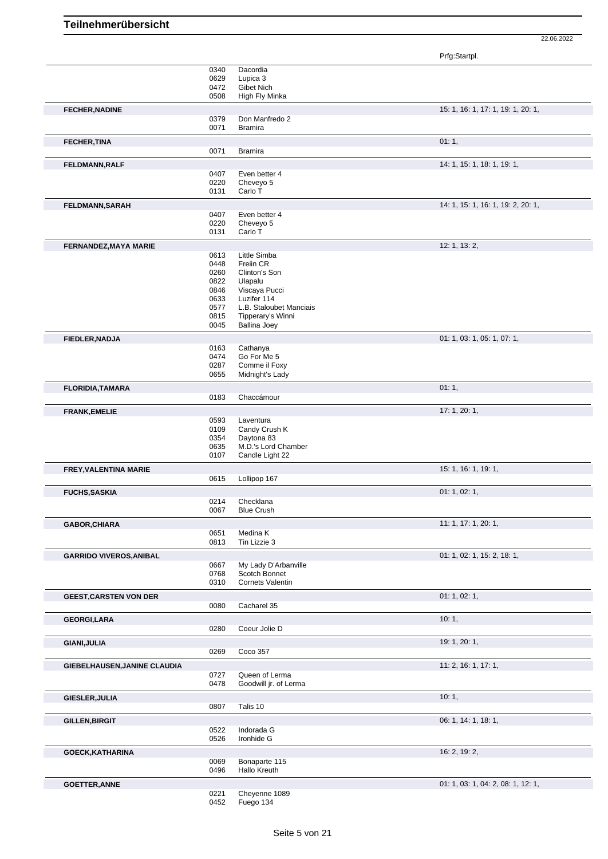| Prfg:Startpl. |
|---------------|
|---------------|

|                                | 0340 | Dacordia                |                                    |
|--------------------------------|------|-------------------------|------------------------------------|
|                                | 0629 | Lupica 3                |                                    |
|                                | 0472 | Gibet Nich              |                                    |
|                                | 0508 | High Fly Minka          |                                    |
| <b>FECHER, NADINE</b>          |      |                         | 15: 1, 16: 1, 17: 1, 19: 1, 20: 1, |
|                                | 0379 | Don Manfredo 2          |                                    |
|                                | 0071 | <b>Bramira</b>          |                                    |
|                                |      |                         |                                    |
| <b>FECHER, TINA</b>            |      |                         | 01:1,                              |
|                                | 0071 | <b>Bramira</b>          |                                    |
|                                |      |                         |                                    |
| FELDMANN, RALF                 |      |                         | 14: 1, 15: 1, 18: 1, 19: 1,        |
|                                | 0407 | Even better 4           |                                    |
|                                | 0220 | Cheveyo 5               |                                    |
|                                | 0131 | Carlo T                 |                                    |
|                                |      |                         |                                    |
| FELDMANN, SARAH                |      |                         | 14: 1, 15: 1, 16: 1, 19: 2, 20: 1, |
|                                | 0407 | Even better 4           |                                    |
|                                | 0220 | Cheveyo 5               |                                    |
|                                | 0131 | Carlo T                 |                                    |
| <b>FERNANDEZ, MAYA MARIE</b>   |      |                         | 12: 1, 13: 2,                      |
|                                | 0613 | Little Simba            |                                    |
|                                | 0448 | Freiin CR               |                                    |
|                                |      |                         |                                    |
|                                | 0260 | Clinton's Son           |                                    |
|                                | 0822 | Ulapalu                 |                                    |
|                                | 0846 | Viscaya Pucci           |                                    |
|                                | 0633 | Luzifer 114             |                                    |
|                                | 0577 | L.B. Staloubet Manciais |                                    |
|                                | 0815 | Tipperary's Winni       |                                    |
|                                | 0045 | <b>Ballina Joey</b>     |                                    |
|                                |      |                         | 01: 1, 03: 1, 05: 1, 07: 1,        |
| FIEDLER, NADJA                 |      |                         |                                    |
|                                | 0163 | Cathanya                |                                    |
|                                | 0474 | Go For Me 5             |                                    |
|                                | 0287 | Comme il Foxy           |                                    |
|                                | 0655 | Midnight's Lady         |                                    |
| FLORIDIA, TAMARA               |      |                         | 01:1,                              |
|                                | 0183 | Chaccámour              |                                    |
|                                |      |                         |                                    |
| <b>FRANK, EMELIE</b>           |      |                         | 17: 1, 20: 1,                      |
|                                | 0593 | Laventura               |                                    |
|                                | 0109 | Candy Crush K           |                                    |
|                                | 0354 | Daytona 83              |                                    |
|                                | 0635 | M.D.'s Lord Chamber     |                                    |
|                                | 0107 | Candle Light 22         |                                    |
|                                |      |                         |                                    |
| FREY, VALENTINA MARIE          |      |                         | 15: 1, 16: 1, 19: 1,               |
|                                | 0615 | Lollipop 167            |                                    |
|                                |      |                         |                                    |
| <b>FUCHS, SASKIA</b>           |      |                         | 01: 1, 02: 1,                      |
|                                | 0214 | Checklana               |                                    |
|                                | 0067 | <b>Blue Crush</b>       |                                    |
|                                |      |                         |                                    |
| <b>GABOR, CHIARA</b>           |      |                         | 11: 1, 17: 1, 20: 1,               |
|                                | 0651 | Medina K                |                                    |
|                                | 0813 | Tin Lizzie 3            |                                    |
| <b>GARRIDO VIVEROS, ANIBAL</b> |      |                         | 01: 1, 02: 1, 15: 2, 18: 1,        |
|                                | 0667 | My Lady D'Arbanville    |                                    |
|                                | 0768 | Scotch Bonnet           |                                    |
|                                | 0310 | Cornets Valentin        |                                    |
|                                |      |                         |                                    |
| <b>GEEST, CARSTEN VON DER</b>  |      |                         | 01: 1, 02: 1,                      |
|                                | 0080 | Cacharel 35             |                                    |
|                                |      |                         |                                    |
| <b>GEORGI,LARA</b>             |      |                         | 10:1,                              |
|                                | 0280 | Coeur Jolie D           |                                    |
|                                |      |                         |                                    |
| GIANI, JULIA                   |      |                         | 19: 1, 20: 1,                      |
|                                | 0269 | Coco 357                |                                    |
| GIEBELHAUSEN, JANINE CLAUDIA   |      |                         | 11: 2, 16: 1, 17: 1,               |
|                                | 0727 | Queen of Lerma          |                                    |
|                                |      |                         |                                    |
|                                | 0478 | Goodwill jr. of Lerma   |                                    |
| GIESLER, JULIA                 |      |                         | 10:1,                              |
|                                | 0807 | Talis 10                |                                    |
|                                |      |                         |                                    |
| <b>GILLEN, BIRGIT</b>          |      |                         | 06: 1, 14: 1, 18: 1,               |
|                                | 0522 | Indorada G              |                                    |
|                                | 0526 | Ironhide G              |                                    |
|                                |      |                         |                                    |
| GOECK, KATHARINA               |      |                         | 16: 2, 19: 2,                      |
|                                | 0069 | Bonaparte 115           |                                    |
|                                | 0496 | Hallo Kreuth            |                                    |
|                                |      |                         |                                    |
| <b>GOETTER, ANNE</b>           |      |                         | 01: 1, 03: 1, 04: 2, 08: 1, 12: 1, |
|                                | 0221 | Cheyenne 1089           |                                    |
|                                | 0452 | Fuego 134               |                                    |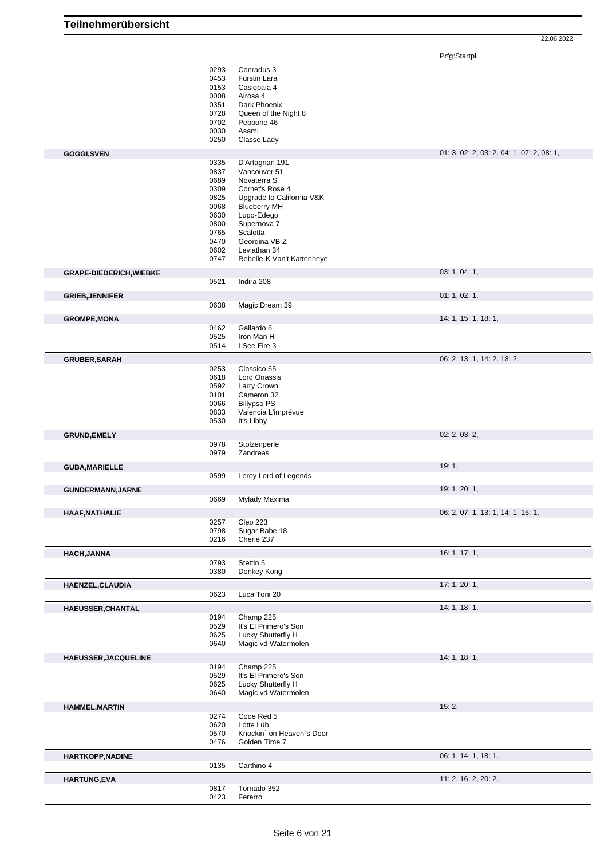Prfg:Startpl.

|                                                                                                                                                                                       | 0293         | Conradus 3                  |                                           |
|---------------------------------------------------------------------------------------------------------------------------------------------------------------------------------------|--------------|-----------------------------|-------------------------------------------|
|                                                                                                                                                                                       | 0453         | Fürstin Lara                |                                           |
|                                                                                                                                                                                       | 0153         | Casiopaia 4                 |                                           |
|                                                                                                                                                                                       | 0008         | Airosa 4                    |                                           |
|                                                                                                                                                                                       | 0351         | Dark Phoenix                |                                           |
|                                                                                                                                                                                       | 0728         | Queen of the Night 8        |                                           |
|                                                                                                                                                                                       | 0702         | Peppone 46                  |                                           |
|                                                                                                                                                                                       | 0030         | Asami                       |                                           |
|                                                                                                                                                                                       | 0250         | Classe Lady                 |                                           |
| GOGGI, SVEN                                                                                                                                                                           |              |                             | 01: 3, 02: 2, 03: 2, 04: 1, 07: 2, 08: 1, |
|                                                                                                                                                                                       | 0335         | D'Artagnan 191              |                                           |
|                                                                                                                                                                                       | 0837         | Vancouver 51                |                                           |
|                                                                                                                                                                                       | 0689         | Novaterra S                 |                                           |
|                                                                                                                                                                                       | 0309         | Cornet's Rose 4             |                                           |
|                                                                                                                                                                                       | 0825         | Upgrade to California V&K   |                                           |
|                                                                                                                                                                                       | 0068         | <b>Blueberry MH</b>         |                                           |
|                                                                                                                                                                                       | 0630         | Lupo-Edego                  |                                           |
|                                                                                                                                                                                       | 0800         | Supernova 7                 |                                           |
|                                                                                                                                                                                       | 0765         | Scalotta                    |                                           |
|                                                                                                                                                                                       | 0470         | Georgina VB Z               |                                           |
|                                                                                                                                                                                       | 0602         | Leviathan 34                |                                           |
|                                                                                                                                                                                       | 0747         | Rebelle-K Van't Kattenheye  |                                           |
| <b>GRAPE-DIEDERICH, WIEBKE</b>                                                                                                                                                        |              |                             | 03: 1, 04: 1,                             |
|                                                                                                                                                                                       | 0521         | Indira 208                  |                                           |
|                                                                                                                                                                                       |              |                             |                                           |
| <b>GRIEB, JENNIFER</b>                                                                                                                                                                |              |                             | 01: 1, 02: 1,                             |
|                                                                                                                                                                                       | 0638         | Magic Dream 39              |                                           |
| <b>GROMPE, MONA</b>                                                                                                                                                                   |              |                             | 14: 1, 15: 1, 18: 1,                      |
|                                                                                                                                                                                       | 0462         | Gallardo 6                  |                                           |
|                                                                                                                                                                                       | 0525         | Iron Man H                  |                                           |
|                                                                                                                                                                                       | 0514         | I See Fire 3                |                                           |
| <b>GRUBER, SARAH</b>                                                                                                                                                                  |              |                             | 06: 2, 13: 1, 14: 2, 18: 2,               |
|                                                                                                                                                                                       | 0253         | Classico 55                 |                                           |
|                                                                                                                                                                                       | 0618         | <b>Lord Onassis</b>         |                                           |
|                                                                                                                                                                                       | 0592         | Larry Crown                 |                                           |
|                                                                                                                                                                                       | 0101         | Cameron 32                  |                                           |
|                                                                                                                                                                                       | 0066         | <b>Billypso PS</b>          |                                           |
|                                                                                                                                                                                       | 0833         | Valencia L'imprévue         |                                           |
|                                                                                                                                                                                       | 0530         | It's Libby                  |                                           |
|                                                                                                                                                                                       |              |                             | 02: 2, 03: 2,                             |
| <b>GRUND, EMELY</b>                                                                                                                                                                   | 0978         | Stolzenperle                |                                           |
|                                                                                                                                                                                       |              | Zandreas                    |                                           |
|                                                                                                                                                                                       |              |                             |                                           |
|                                                                                                                                                                                       | 0979         |                             |                                           |
|                                                                                                                                                                                       |              |                             | 19:1,                                     |
|                                                                                                                                                                                       | 0599         | Leroy Lord of Legends       |                                           |
|                                                                                                                                                                                       |              |                             | 19: 1, 20: 1,                             |
|                                                                                                                                                                                       | 0669         | Mylady Maxima               |                                           |
|                                                                                                                                                                                       |              |                             |                                           |
|                                                                                                                                                                                       |              |                             | 06: 2, 07: 1, 13: 1, 14: 1, 15: 1,        |
|                                                                                                                                                                                       | 0257         | Cleo 223                    |                                           |
|                                                                                                                                                                                       | 0798<br>0216 | Sugar Babe 18<br>Cherie 237 |                                           |
|                                                                                                                                                                                       |              |                             |                                           |
|                                                                                                                                                                                       |              |                             | 16:1, 17:1,                               |
|                                                                                                                                                                                       | 0793         | Stettin 5                   |                                           |
|                                                                                                                                                                                       | 0380         | Donkey Kong                 |                                           |
|                                                                                                                                                                                       |              |                             | 17:1,20:1,                                |
|                                                                                                                                                                                       | 0623         | Luca Toni 20                |                                           |
|                                                                                                                                                                                       |              |                             | 14:1, 18:1,                               |
|                                                                                                                                                                                       | 0194         | Champ 225                   |                                           |
|                                                                                                                                                                                       | 0529         | It's El Primero's Son       |                                           |
|                                                                                                                                                                                       | 0625         | Lucky Shutterfly H          |                                           |
|                                                                                                                                                                                       | 0640         | Magic vd Watermolen         |                                           |
|                                                                                                                                                                                       |              |                             |                                           |
|                                                                                                                                                                                       |              |                             | 14: 1, 18: 1,                             |
|                                                                                                                                                                                       | 0194         | Champ 225                   |                                           |
|                                                                                                                                                                                       | 0529         | It's El Primero's Son       |                                           |
|                                                                                                                                                                                       | 0625<br>0640 | Lucky Shutterfly H          |                                           |
|                                                                                                                                                                                       |              | Magic vd Watermolen         |                                           |
|                                                                                                                                                                                       |              |                             | 15:2,                                     |
|                                                                                                                                                                                       | 0274         | Code Red 5                  |                                           |
|                                                                                                                                                                                       | 0620         | Lotte Lüh                   |                                           |
|                                                                                                                                                                                       | 0570         | Knockin' on Heaven's Door   |                                           |
|                                                                                                                                                                                       | 0476         | Golden Time 7               |                                           |
|                                                                                                                                                                                       |              |                             | 06: 1, 14: 1, 18: 1,                      |
| GUNDERMANN, JARNE<br>HAAF, NATHALIE<br><b>HACH, JANNA</b><br>HAENZEL, CLAUDIA<br><b>HAEUSSER, CHANTAL</b><br>HAEUSSER, JACQUELINE<br><b>HAMMEL, MARTIN</b><br><b>HARTKOPP, NADINE</b> | 0135         | Carthino 4                  |                                           |
| <b>GUBA, MARIELLE</b><br><b>HARTUNG,EVA</b>                                                                                                                                           |              |                             | 11: 2, 16: 2, 20: 2,                      |
|                                                                                                                                                                                       | 0817<br>0423 | Tornado 352<br>Fererro      |                                           |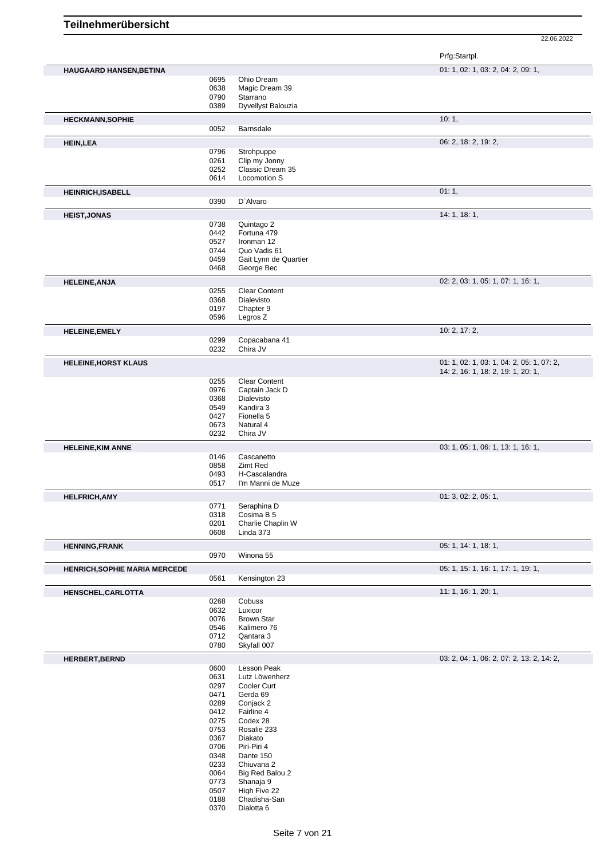|                                      |              |                                        | Prfg:Startpl.                             |
|--------------------------------------|--------------|----------------------------------------|-------------------------------------------|
| <b>HAUGAARD HANSEN, BETINA</b>       |              |                                        | 01: 1, 02: 1, 03: 2, 04: 2, 09: 1,        |
|                                      | 0695         | Ohio Dream                             |                                           |
|                                      | 0638         | Magic Dream 39                         |                                           |
|                                      | 0790<br>0389 | Starrano<br>Dyvellyst Balouzia         |                                           |
|                                      |              |                                        | 10:1,                                     |
| <b>HECKMANN, SOPHIE</b>              | 0052         | Barnsdale                              |                                           |
| <b>HEIN, LEA</b>                     |              |                                        | 06: 2, 18: 2, 19: 2,                      |
|                                      | 0796         | Strohpuppe                             |                                           |
|                                      | 0261         | Clip my Jonny                          |                                           |
|                                      | 0252         | Classic Dream 35                       |                                           |
|                                      | 0614         | Locomotion S                           |                                           |
| <b>HEINRICH, ISABELL</b>             |              |                                        | 01:1,                                     |
|                                      | 0390         | D'Alvaro                               |                                           |
| <b>HEIST, JONAS</b>                  |              |                                        | 14: 1, 18: 1,                             |
|                                      | 0738         | Quintago 2                             |                                           |
|                                      | 0442         | Fortuna 479                            |                                           |
|                                      | 0527         | Ironman 12                             |                                           |
|                                      | 0744         | Quo Vadis 61                           |                                           |
|                                      | 0459<br>0468 | Gait Lynn de Quartier<br>George Bec    |                                           |
|                                      |              |                                        |                                           |
| <b>HELEINE, ANJA</b>                 | 0255         | <b>Clear Content</b>                   | 02: 2, 03: 1, 05: 1, 07: 1, 16: 1,        |
|                                      | 0368         | Dialevisto                             |                                           |
|                                      | 0197         | Chapter 9                              |                                           |
|                                      | 0596         | Legros Z                               |                                           |
| <b>HELEINE, EMELY</b>                |              |                                        | 10: 2, 17: 2,                             |
|                                      | 0299         | Copacabana 41                          |                                           |
|                                      | 0232         | Chira JV                               |                                           |
| <b>HELEINE, HORST KLAUS</b>          |              |                                        | 01: 1, 02: 1, 03: 1, 04: 2, 05: 1, 07: 2, |
|                                      |              |                                        | 14: 2, 16: 1, 18: 2, 19: 1, 20: 1,        |
|                                      | 0255<br>0976 | <b>Clear Content</b><br>Captain Jack D |                                           |
|                                      | 0368         | Dialevisto                             |                                           |
|                                      | 0549         | Kandira 3                              |                                           |
|                                      | 0427         | Fionella 5                             |                                           |
|                                      | 0673         | Natural 4                              |                                           |
|                                      | 0232         | Chira JV                               |                                           |
| <b>HELEINE, KIM ANNE</b>             |              |                                        | 03: 1, 05: 1, 06: 1, 13: 1, 16: 1,        |
|                                      | 0146         | Cascanetto                             |                                           |
|                                      | 0858         | Zimt Red                               |                                           |
|                                      | 0493<br>0517 | H-Cascalandra<br>I'm Manni de Muze     |                                           |
|                                      |              |                                        |                                           |
| <b>HELFRICH, AMY</b>                 | 0771         | Seraphina D                            | 01: 3, 02: 2, 05: 1,                      |
|                                      | 0318         | Cosima B 5                             |                                           |
|                                      | 0201         | Charlie Chaplin W                      |                                           |
|                                      | 0608         | Linda 373                              |                                           |
| <b>HENNING,FRANK</b>                 |              |                                        | 05: 1, 14: 1, 18: 1,                      |
|                                      | 0970         | Winona 55                              |                                           |
| <b>HENRICH, SOPHIE MARIA MERCEDE</b> |              |                                        | 05: 1, 15: 1, 16: 1, 17: 1, 19: 1,        |
|                                      | 0561         | Kensington 23                          |                                           |
| HENSCHEL, CARLOTTA                   |              |                                        | 11: 1, 16: 1, 20: 1,                      |
|                                      | 0268         | Cobuss                                 |                                           |
|                                      | 0632         | Luxicor                                |                                           |
|                                      | 0076         | <b>Brown Star</b>                      |                                           |
|                                      | 0546         | Kalimero 76                            |                                           |
|                                      | 0712         | Qantara 3                              |                                           |
|                                      | 0780         | Skyfall 007                            |                                           |
| HERBERT, BERND                       |              |                                        | 03: 2, 04: 1, 06: 2, 07: 2, 13: 2, 14: 2, |
|                                      | 0600<br>0631 | Lesson Peak<br>Lutz Löwenherz          |                                           |
|                                      | 0297         | Cooler Curt                            |                                           |
|                                      | 0471         | Gerda 69                               |                                           |
|                                      | 0289         | Conjack 2                              |                                           |
|                                      | 0412         | Fairline 4                             |                                           |
|                                      | 0275         | Codex 28                               |                                           |
|                                      | 0753         | Rosalie 233                            |                                           |
|                                      | 0367         | Diakato                                |                                           |
|                                      | 0706<br>0348 | Piri-Piri 4<br>Dante 150               |                                           |
|                                      | 0233         | Chiuvana 2                             |                                           |
|                                      | 0064         | Big Red Balou 2                        |                                           |
|                                      | 0773         | Shanaja 9                              |                                           |
|                                      | 0507         | High Five 22                           |                                           |
|                                      | 0188         | Chadisha-San                           |                                           |
|                                      | 0370         | Dialotta 6                             |                                           |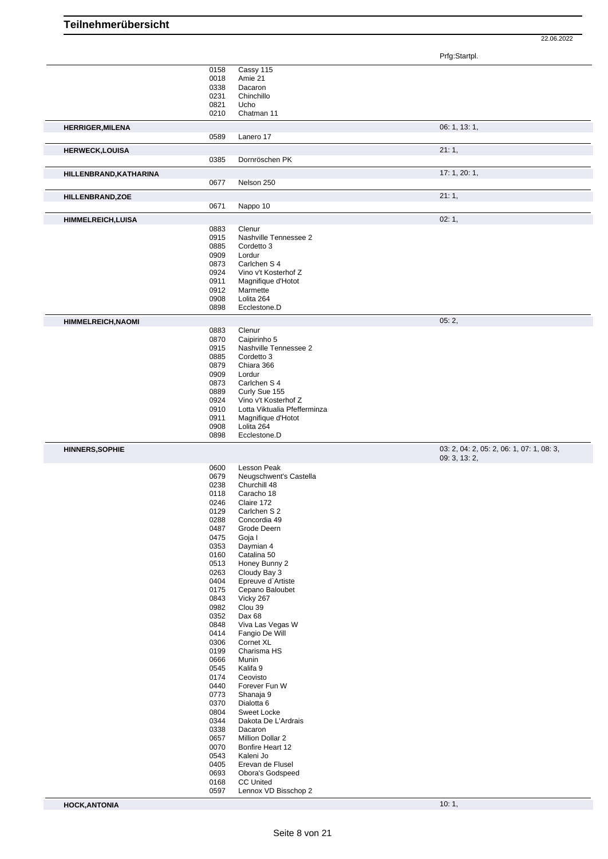Prfg:Startpl.

22.06.2022

|                           | 0158         | Cassy 115                            |                                           |
|---------------------------|--------------|--------------------------------------|-------------------------------------------|
|                           | 0018         | Amie 21                              |                                           |
|                           | 0338         | Dacaron                              |                                           |
|                           | 0231         | Chinchillo                           |                                           |
|                           | 0821         | Ucho                                 |                                           |
|                           | 0210         | Chatman 11                           |                                           |
|                           |              |                                      |                                           |
| <b>HERRIGER, MILENA</b>   |              |                                      | 06: 1, 13: 1,                             |
|                           | 0589         | Lanero 17                            |                                           |
|                           |              |                                      |                                           |
| <b>HERWECK,LOUISA</b>     |              |                                      | 21:1,                                     |
|                           | 0385         | Dornröschen PK                       |                                           |
|                           |              |                                      |                                           |
| HILLENBRAND, KATHARINA    |              |                                      | 17: 1, 20: 1,                             |
|                           | 0677         | Nelson 250                           |                                           |
|                           |              |                                      |                                           |
| HILLENBRAND, ZOE          |              |                                      | 21:1,                                     |
|                           | 0671         | Nappo 10                             |                                           |
| <b>HIMMELREICH, LUISA</b> |              |                                      | 02:1,                                     |
|                           |              |                                      |                                           |
|                           | 0883         | Clenur                               |                                           |
|                           | 0915         | Nashville Tennessee 2                |                                           |
|                           | 0885         | Cordetto 3                           |                                           |
|                           | 0909         | Lordur                               |                                           |
|                           | 0873         | Carlchen S 4                         |                                           |
|                           | 0924         | Vino v't Kosterhof Z                 |                                           |
|                           | 0911         | Magnifique d'Hotot                   |                                           |
|                           | 0912         | Marmette                             |                                           |
|                           | 0908         | Lolita 264                           |                                           |
|                           | 0898         | Ecclestone.D                         |                                           |
|                           |              |                                      |                                           |
| <b>HIMMELREICH, NAOMI</b> |              |                                      | 05:2,                                     |
|                           | 0883         | Clenur                               |                                           |
|                           | 0870         | Caipirinho 5                         |                                           |
|                           | 0915         | Nashville Tennessee 2                |                                           |
|                           |              |                                      |                                           |
|                           | 0885         | Cordetto 3                           |                                           |
|                           | 0879         | Chiara 366                           |                                           |
|                           | 0909         | Lordur                               |                                           |
|                           | 0873         | Carlchen S 4                         |                                           |
|                           | 0889         | Curly Sue 155                        |                                           |
|                           | 0924         | Vino v't Kosterhof Z                 |                                           |
|                           | 0910         | Lotta Viktualia Pfefferminza         |                                           |
|                           | 0911         | Magnifique d'Hotot                   |                                           |
|                           | 0908         | Lolita 264                           |                                           |
|                           |              |                                      |                                           |
|                           |              |                                      |                                           |
|                           | 0898         | Ecclestone.D                         |                                           |
| <b>HINNERS, SOPHIE</b>    |              |                                      | 03: 2, 04: 2, 05: 2, 06: 1, 07: 1, 08: 3, |
|                           |              |                                      | 09: 3, 13: 2,                             |
|                           |              |                                      |                                           |
|                           | 0600         | Lesson Peak                          |                                           |
|                           | 0679         | Neugschwent's Castella               |                                           |
|                           | 0238         | Churchill 48                         |                                           |
|                           | 0118         | Caracho 18                           |                                           |
|                           | 0246         | Claire 172                           |                                           |
|                           | 0129         | Carlchen S 2                         |                                           |
|                           | 0288         | Concordia 49                         |                                           |
|                           | 0487         | Grode Deern                          |                                           |
|                           | 0475         | Goja I                               |                                           |
|                           | 0353         | Daymian 4                            |                                           |
|                           | 0160         | Catalina 50                          |                                           |
|                           | 0513         | Honey Bunny 2                        |                                           |
|                           | 0263         | Cloudy Bay 3                         |                                           |
|                           | 0404         | Epreuve d'Artiste                    |                                           |
|                           | 0175         | Cepano Baloubet                      |                                           |
|                           |              |                                      |                                           |
|                           | 0843         | Vicky 267                            |                                           |
|                           | 0982         | Clou 39                              |                                           |
|                           | 0352         | Dax 68                               |                                           |
|                           | 0848         | Viva Las Vegas W                     |                                           |
|                           | 0414         | Fangio De Will                       |                                           |
|                           | 0306         | Cornet XL                            |                                           |
|                           | 0199         | Charisma HS                          |                                           |
|                           | 0666         | Munin                                |                                           |
|                           | 0545         | Kalifa 9                             |                                           |
|                           | 0174         | Ceovisto                             |                                           |
|                           | 0440         | Forever Fun W                        |                                           |
|                           | 0773         | Shanaja 9                            |                                           |
|                           |              |                                      |                                           |
|                           | 0370         | Dialotta <sub>6</sub>                |                                           |
|                           | 0804         | Sweet Locke                          |                                           |
|                           | 0344         | Dakota De L'Ardrais                  |                                           |
|                           | 0338         | Dacaron                              |                                           |
|                           | 0657         | Million Dollar 2                     |                                           |
|                           | 0070         | Bonfire Heart 12                     |                                           |
|                           | 0543         | Kaleni Jo                            |                                           |
|                           | 0405         | Erevan de Flusel                     |                                           |
|                           | 0693<br>0168 | Obora's Godspeed<br><b>CC United</b> |                                           |

Lennox VD Bisschop 2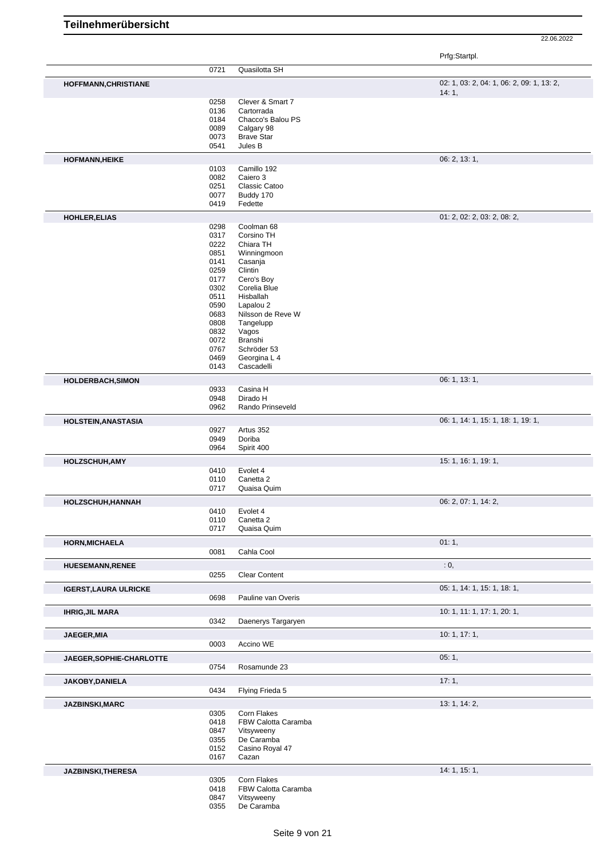|                              |              |                                    | Prfg:Startpl.                             |
|------------------------------|--------------|------------------------------------|-------------------------------------------|
|                              | 0721         | Quasilotta SH                      |                                           |
| <b>HOFFMANN, CHRISTIANE</b>  |              |                                    | 02: 1, 03: 2, 04: 1, 06: 2, 09: 1, 13: 2, |
|                              |              | Clever & Smart 7                   | 14:1,                                     |
|                              | 0258<br>0136 | Cartorrada                         |                                           |
|                              | 0184         | Chacco's Balou PS                  |                                           |
|                              | 0089         | Calgary 98                         |                                           |
|                              | 0073         | <b>Brave Star</b>                  |                                           |
|                              | 0541         | Jules B                            |                                           |
| <b>HOFMANN, HEIKE</b>        |              |                                    | 06: 2, 13: 1,                             |
|                              | 0103         | Camillo 192                        |                                           |
|                              | 0082         | Caiero 3                           |                                           |
|                              | 0251         | Classic Catoo                      |                                           |
|                              | 0077         | Buddy 170                          |                                           |
|                              | 0419         | Fedette                            |                                           |
| HOHLER, ELIAS                | 0298         | Coolman 68                         | 01: 2, 02: 2, 03: 2, 08: 2,               |
|                              | 0317         | Corsino TH                         |                                           |
|                              | 0222         | Chiara TH                          |                                           |
|                              | 0851         | Winningmoon                        |                                           |
|                              | 0141         | Casanja                            |                                           |
|                              | 0259         | Clintin                            |                                           |
|                              | 0177         | Cero's Boy                         |                                           |
|                              | 0302<br>0511 | Corelia Blue<br>Hisballah          |                                           |
|                              | 0590         | Lapalou 2                          |                                           |
|                              | 0683         | Nilsson de Reve W                  |                                           |
|                              | 0808         | Tangelupp                          |                                           |
|                              | 0832         | Vagos                              |                                           |
|                              | 0072         | Branshi                            |                                           |
|                              | 0767         | Schröder 53                        |                                           |
|                              | 0469         | Georgina L 4                       |                                           |
|                              | 0143         | Cascadelli                         |                                           |
| HOLDERBACH, SIMON            | 0933         | Casina H                           | 06: 1, 13: 1,                             |
|                              | 0948         | Dirado H                           |                                           |
|                              | 0962         | Rando Prinseveld                   |                                           |
|                              |              |                                    | 06: 1, 14: 1, 15: 1, 18: 1, 19: 1,        |
| <b>HOLSTEIN, ANASTASIA</b>   | 0927         | Artus 352                          |                                           |
|                              | 0949         | Doriba                             |                                           |
|                              | 0964         | Spirit 400                         |                                           |
| <b>HOLZSCHUH, AMY</b>        |              |                                    | 15: 1, 16: 1, 19: 1,                      |
|                              | 0410         | Evolet 4                           |                                           |
|                              | 0110         | Canetta 2                          |                                           |
|                              | 0717         | Quaisa Quim                        |                                           |
| HOLZSCHUH, HANNAH            |              |                                    | 06: 2, 07: 1, 14: 2,                      |
|                              | 0410         | Evolet 4                           |                                           |
|                              | 0110         | Canetta 2                          |                                           |
|                              | 0717         | Quaisa Quim                        |                                           |
| <b>HORN, MICHAELA</b>        | 0081         | Cahla Cool                         | 01:1,                                     |
|                              |              |                                    |                                           |
| <b>HUESEMANN, RENEE</b>      | 0255         | <b>Clear Content</b>               | $\cdot$ 0,                                |
|                              |              |                                    |                                           |
| <b>IGERST, LAURA ULRICKE</b> | 0698         | Pauline van Overis                 | 05: 1, 14: 1, 15: 1, 18: 1,               |
|                              |              |                                    | 10: 1, 11: 1, 17: 1, 20: 1,               |
| <b>IHRIG, JIL MARA</b>       | 0342         | Daenerys Targaryen                 |                                           |
| JAEGER, MIA                  |              |                                    | 10:1, 17:1,                               |
|                              | 0003         | Accino WE                          |                                           |
| JAEGER, SOPHIE-CHARLOTTE     |              |                                    | 05:1,                                     |
|                              | 0754         | Rosamunde 23                       |                                           |
| JAKOBY, DANIELA              |              |                                    | 17:1,                                     |
|                              | 0434         | Flying Frieda 5                    |                                           |
| JAZBINSKI, MARC              |              |                                    | 13: 1, 14: 2,                             |
|                              | 0305         | Corn Flakes<br>FBW Calotta Caramba |                                           |
|                              | 0418<br>0847 | Vitsyweeny                         |                                           |
|                              | 0355         | De Caramba                         |                                           |
|                              | 0152         | Casino Royal 47                    |                                           |
|                              | 0167         | Cazan                              |                                           |
| JAZBINSKI, THERESA           |              |                                    | 14: 1, 15: 1,                             |
|                              | 0305         | Corn Flakes                        |                                           |
|                              | 0418         | FBW Calotta Caramba                |                                           |
|                              | 0847         | Vitsyweeny                         |                                           |
|                              | 0355         | De Caramba                         |                                           |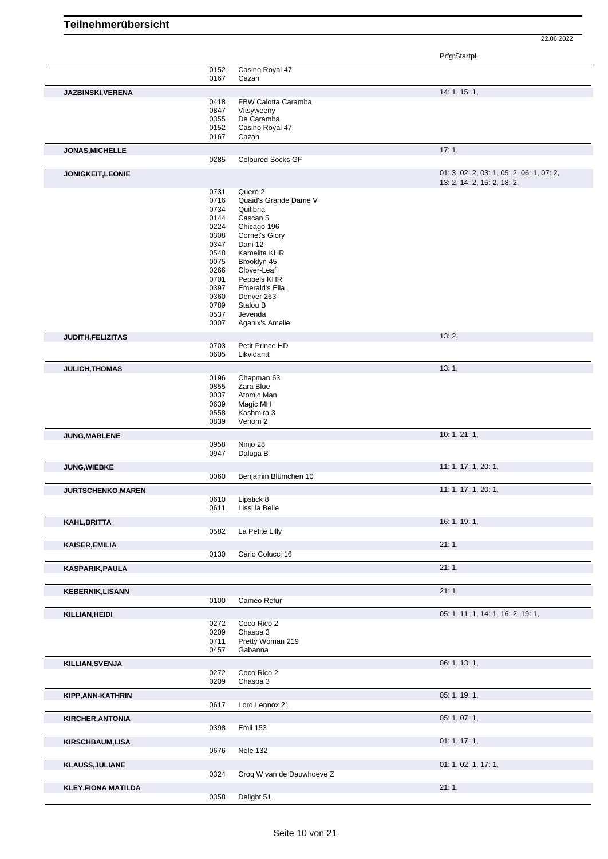|                            |              |                                  | Prfg:Startpl.                             |
|----------------------------|--------------|----------------------------------|-------------------------------------------|
|                            | 0152<br>0167 | Casino Royal 47<br>Cazan         |                                           |
| JAZBINSKI, VERENA          |              |                                  | 14: 1, 15: 1,                             |
|                            | 0418         | FBW Calotta Caramba              |                                           |
|                            | 0847         | Vitsyweeny                       |                                           |
|                            | 0355         | De Caramba                       |                                           |
|                            | 0152         | Casino Royal 47                  |                                           |
|                            | 0167         | Cazan                            | 17:1,                                     |
| <b>JONAS, MICHELLE</b>     | 0285         | <b>Coloured Socks GF</b>         |                                           |
| <b>JONIGKEIT, LEONIE</b>   |              |                                  | 01: 3, 02: 2, 03: 1, 05: 2, 06: 1, 07: 2, |
|                            | 0731         | Quero 2                          | 13: 2, 14: 2, 15: 2, 18: 2,               |
|                            | 0716         | Quaid's Grande Dame V            |                                           |
|                            | 0734         | Quilibria                        |                                           |
|                            | 0144         | Cascan 5                         |                                           |
|                            | 0224         | Chicago 196                      |                                           |
|                            | 0308         | Cornet's Glory                   |                                           |
|                            | 0347         | Dani 12                          |                                           |
|                            | 0548         | Kamelita KHR                     |                                           |
|                            | 0075         | Brooklyn 45                      |                                           |
|                            | 0266         | Clover-Leaf                      |                                           |
|                            | 0701         | Peppels KHR                      |                                           |
|                            | 0397         | Emerald's Ella                   |                                           |
|                            | 0360         | Denver 263                       |                                           |
|                            | 0789         | Stalou B                         |                                           |
|                            | 0537<br>0007 | Jevenda<br>Aganix's Amelie       |                                           |
| JUDITH, FELIZITAS          |              |                                  | 13:2,                                     |
|                            | 0703         | Petit Prince HD                  |                                           |
|                            | 0605         | Likvidantt                       |                                           |
| <b>JULICH, THOMAS</b>      |              |                                  | 13:1,                                     |
|                            | 0196         | Chapman 63                       |                                           |
|                            | 0855         | Zara Blue                        |                                           |
|                            | 0037         | Atomic Man                       |                                           |
|                            | 0639         | Magic MH                         |                                           |
|                            | 0558<br>0839 | Kashmira 3<br>Venom <sub>2</sub> |                                           |
| JUNG, MARLENE              |              |                                  | 10:1, 21:1,                               |
|                            | 0958         | Ninjo 28                         |                                           |
|                            | 0947         | Daluga B                         |                                           |
| <b>JUNG, WIEBKE</b>        |              |                                  | 11: 1, 17: 1, 20: 1,                      |
|                            | 0060         | Benjamin Blümchen 10             |                                           |
| JURTSCHENKO, MAREN         |              |                                  | 11: 1, 17: 1, 20: 1,                      |
|                            | 0610<br>0611 | Lipstick 8<br>Lissi la Belle     |                                           |
| KAHL, BRITTA               |              |                                  | 16: 1, 19: 1,                             |
|                            | 0582         | La Petite Lilly                  |                                           |
| <b>KAISER, EMILIA</b>      |              |                                  | 21:1,                                     |
|                            | 0130         | Carlo Colucci 16                 |                                           |
| KASPARIK, PAULA            |              |                                  | 21:1,                                     |
| <b>KEBERNIK, LISANN</b>    |              |                                  | 21:1,                                     |
|                            | 0100         | Cameo Refur                      |                                           |
| KILLIAN, HEIDI             |              |                                  | 05: 1, 11: 1, 14: 1, 16: 2, 19: 1,        |
|                            | 0272         | Coco Rico 2                      |                                           |
|                            | 0209         | Chaspa 3                         |                                           |
|                            | 0711         | Pretty Woman 219                 |                                           |
|                            | 0457         | Gabanna                          |                                           |
| KILLIAN, SVENJA            |              | Coco Rico 2                      | 06: 1, 13: 1,                             |
|                            | 0272<br>0209 | Chaspa 3                         |                                           |
|                            |              |                                  | 05: 1, 19: 1,                             |
| KIPP, ANN-KATHRIN          | 0617         | Lord Lennox 21                   |                                           |
| <b>KIRCHER, ANTONIA</b>    |              |                                  | 05: 1, 07: 1,                             |
|                            | 0398         | <b>Emil 153</b>                  |                                           |
| <b>KIRSCHBAUM,LISA</b>     |              |                                  | 01: 1, 17: 1,                             |
|                            | 0676         | Nele 132                         |                                           |
| <b>KLAUSS, JULIANE</b>     |              |                                  | 01: 1, 02: 1, 17: 1,                      |
|                            | 0324         | Croq W van de Dauwhoeve Z        |                                           |
| <b>KLEY, FIONA MATILDA</b> | 0358         | Delight 51                       | 21:1,                                     |
|                            |              |                                  |                                           |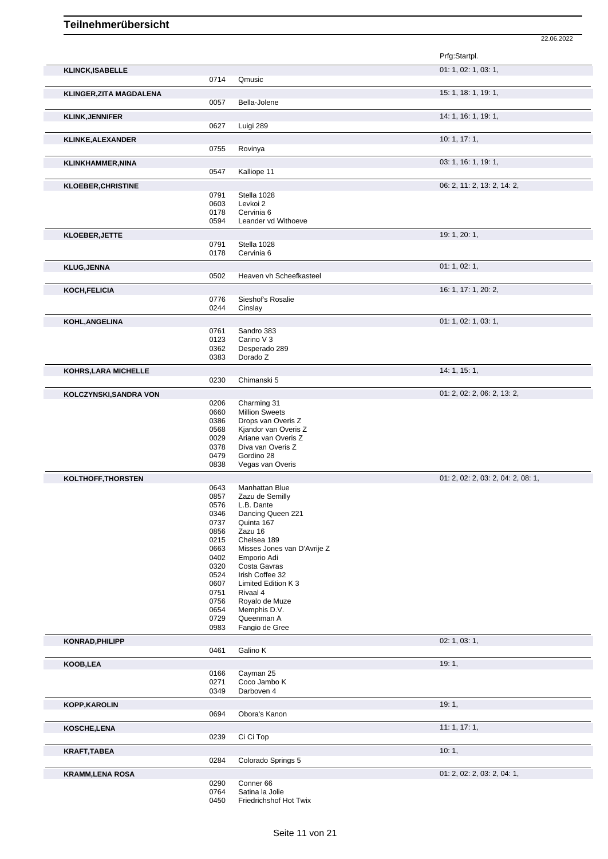|                                |              |                                            | Prfg:Startpl.                      |
|--------------------------------|--------------|--------------------------------------------|------------------------------------|
| <b>KLINCK, ISABELLE</b>        |              |                                            | 01: 1, 02: 1, 03: 1,               |
|                                | 0714         | Qmusic                                     |                                    |
| <b>KLINGER, ZITA MAGDALENA</b> |              |                                            | 15: 1, 18: 1, 19: 1,               |
|                                | 0057         | Bella-Jolene                               |                                    |
| <b>KLINK, JENNIFER</b>         |              |                                            | 14: 1, 16: 1, 19: 1,               |
|                                | 0627         | Luigi 289                                  |                                    |
| KLINKE, ALEXANDER              |              |                                            | 10: 1, 17: 1,                      |
|                                | 0755         | Rovinya                                    |                                    |
| <b>KLINKHAMMER, NINA</b>       | 0547         | Kalliope 11                                | 03: 1, 16: 1, 19: 1,               |
|                                |              |                                            |                                    |
| <b>KLOEBER, CHRISTINE</b>      | 0791         | Stella 1028                                | 06: 2, 11: 2, 13: 2, 14: 2,        |
|                                | 0603         | Levkoi 2                                   |                                    |
|                                | 0178         | Cervinia 6                                 |                                    |
|                                | 0594         | Leander vd Withoeve                        |                                    |
| <b>KLOEBER, JETTE</b>          |              |                                            | 19:1,20:1,                         |
|                                | 0791<br>0178 | Stella 1028<br>Cervinia 6                  |                                    |
| <b>KLUG, JENNA</b>             |              |                                            | 01: 1, 02: 1,                      |
|                                | 0502         | Heaven vh Scheefkasteel                    |                                    |
|                                |              |                                            | 16: 1, 17: 1, 20: 2,               |
| KOCH, FELICIA                  | 0776         | Sieshof's Rosalie                          |                                    |
|                                | 0244         | Cinslay                                    |                                    |
| KOHL, ANGELINA                 |              |                                            | 01: 1, 02: 1, 03: 1,               |
|                                | 0761         | Sandro 383                                 |                                    |
|                                | 0123<br>0362 | Carino V <sub>3</sub><br>Desperado 289     |                                    |
|                                | 0383         | Dorado Z                                   |                                    |
| KOHRS, LARA MICHELLE           |              |                                            | 14: 1, 15: 1,                      |
|                                | 0230         | Chimanski 5                                |                                    |
| KOLCZYNSKI, SANDRA VON         |              |                                            | 01: 2, 02: 2, 06: 2, 13: 2,        |
|                                | 0206         | Charming 31                                |                                    |
|                                | 0660         | <b>Million Sweets</b>                      |                                    |
|                                | 0386<br>0568 | Drops van Overis Z<br>Kjandor van Overis Z |                                    |
|                                | 0029         | Ariane van Overis Z                        |                                    |
|                                | 0378         | Diva van Overis Z                          |                                    |
|                                | 0479<br>0838 | Gordino 28<br>Vegas van Overis             |                                    |
|                                |              |                                            | 01: 2, 02: 2, 03: 2, 04: 2, 08: 1, |
| KOLTHOFF, THORSTEN             | 0643         | <b>Manhattan Blue</b>                      |                                    |
|                                | 0857         | Zazu de Semilly                            |                                    |
|                                | 0576         | L.B. Dante                                 |                                    |
|                                | 0346<br>0737 | Dancing Queen 221<br>Quinta 167            |                                    |
|                                | 0856         | Zazu 16                                    |                                    |
|                                | 0215         | Chelsea 189                                |                                    |
|                                | 0663<br>0402 | Misses Jones van D'Avrije Z<br>Emporio Adi |                                    |
|                                | 0320         | Costa Gavras                               |                                    |
|                                | 0524         | Irish Coffee 32                            |                                    |
|                                | 0607<br>0751 | Limited Edition K 3<br>Rivaal 4            |                                    |
|                                | 0756         | Royalo de Muze                             |                                    |
|                                | 0654         | Memphis D.V.                               |                                    |
|                                | 0729<br>0983 | Queenman A<br>Fangio de Gree               |                                    |
|                                |              |                                            |                                    |
| <b>KONRAD, PHILIPP</b>         | 0461         | Galino K                                   | 02: 1, 03: 1,                      |
|                                |              |                                            |                                    |
| KOOB, LEA                      | 0166         | Cayman 25                                  | 19:1,                              |
|                                | 0271         | Coco Jambo K                               |                                    |
|                                | 0349         | Darboven 4                                 |                                    |
| <b>KOPP, KAROLIN</b>           |              |                                            | 19:1,                              |
|                                | 0694         | Obora's Kanon                              |                                    |
| KOSCHE,LENA                    |              |                                            | 11:1, 17:1,                        |
|                                | 0239         | Ci Ci Top                                  |                                    |
| <b>KRAFT, TABEA</b>            |              |                                            | 10:1,                              |
|                                | 0284         | Colorado Springs 5                         |                                    |
| <b>KRAMM,LENA ROSA</b>         |              |                                            | 01: 2, 02: 2, 03: 2, 04: 1,        |
|                                | 0290<br>0764 | Conner 66<br>Satina la Jolie               |                                    |
|                                | 0450         | Friedrichshof Hot Twix                     |                                    |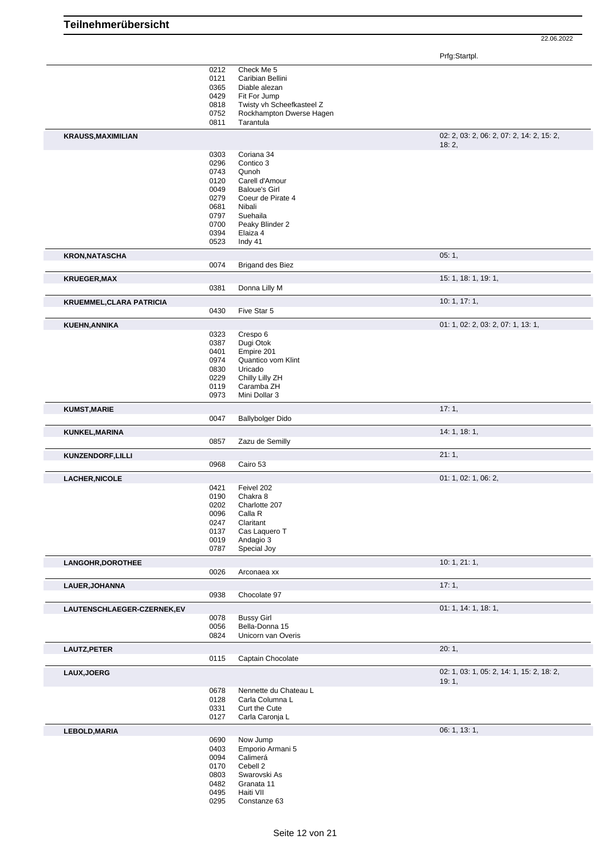Prfg:Startpl.

|                                 | 0212 | Check Me 5                |                                           |
|---------------------------------|------|---------------------------|-------------------------------------------|
|                                 | 0121 | Caribian Bellini          |                                           |
|                                 | 0365 | Diable alezan             |                                           |
|                                 | 0429 | Fit For Jump              |                                           |
|                                 | 0818 | Twisty vh Scheefkasteel Z |                                           |
|                                 | 0752 | Rockhampton Dwerse Hagen  |                                           |
|                                 | 0811 | Tarantula                 |                                           |
| <b>KRAUSS, MAXIMILIAN</b>       |      |                           | 02: 2, 03: 2, 06: 2, 07: 2, 14: 2, 15: 2, |
|                                 |      |                           | 18:2,                                     |
|                                 | 0303 | Coriana 34                |                                           |
|                                 | 0296 | Contico 3                 |                                           |
|                                 | 0743 | Qunoh                     |                                           |
|                                 | 0120 | Carell d'Amour            |                                           |
|                                 | 0049 | <b>Baloue's Girl</b>      |                                           |
|                                 | 0279 | Coeur de Pirate 4         |                                           |
|                                 | 0681 | Nibali                    |                                           |
|                                 | 0797 | Suehaila                  |                                           |
|                                 | 0700 | Peaky Blinder 2           |                                           |
|                                 | 0394 | Elaiza 4                  |                                           |
|                                 | 0523 | Indy 41                   |                                           |
|                                 |      |                           |                                           |
| <b>KRON, NATASCHA</b>           |      |                           | 05:1,                                     |
|                                 | 0074 | <b>Brigand des Biez</b>   |                                           |
| <b>KRUEGER, MAX</b>             |      |                           | 15: 1, 18: 1, 19: 1,                      |
|                                 | 0381 | Donna Lilly M             |                                           |
| <b>KRUEMMEL, CLARA PATRICIA</b> |      |                           | 10: 1, 17: 1,                             |
|                                 | 0430 | Five Star 5               |                                           |
| KUEHN, ANNIKA                   |      |                           | 01: 1, 02: 2, 03: 2, 07: 1, 13: 1,        |
|                                 | 0323 | Crespo 6                  |                                           |
|                                 | 0387 | Dugi Otok                 |                                           |
|                                 | 0401 | Empire 201                |                                           |
|                                 | 0974 | Quantico vom Klint        |                                           |
|                                 | 0830 | Uricado                   |                                           |
|                                 | 0229 | Chilly Lilly ZH           |                                           |
|                                 | 0119 | Caramba ZH                |                                           |
|                                 | 0973 | Mini Dollar 3             |                                           |
| <b>KUMST, MARIE</b>             |      |                           | 17:1,                                     |
|                                 | 0047 | <b>Ballybolger Dido</b>   |                                           |
| KUNKEL, MARINA                  |      |                           | 14: 1, 18: 1,                             |
|                                 | 0857 | Zazu de Semilly           |                                           |
| KUNZENDORF, LILLI               |      |                           | 21:1,                                     |
|                                 | 0968 | Cairo 53                  |                                           |
| <b>LACHER, NICOLE</b>           |      |                           | 01: 1, 02: 1, 06: 2,                      |
|                                 | 0421 | Feivel 202                |                                           |
|                                 | 0190 | Chakra 8                  |                                           |
|                                 | 0202 | Charlotte 207             |                                           |
|                                 | 0096 | Calla R                   |                                           |
|                                 | 0247 | Claritant                 |                                           |
|                                 | 0137 | Cas Laquero T             |                                           |
|                                 | 0019 | Andagio 3                 |                                           |
|                                 | 0787 | Special Joy               |                                           |
| LANGOHR, DOROTHEE               |      |                           | 10:1, 21:1,                               |
|                                 | 0026 | Arconaea xx               |                                           |
| LAUER, JOHANNA                  |      |                           | 17:1,                                     |
|                                 | 0938 | Chocolate 97              |                                           |
| LAUTENSCHLAEGER-CZERNEK,EV      |      |                           | 01: 1, 14: 1, 18: 1,                      |
|                                 | 0078 | <b>Bussy Girl</b>         |                                           |
|                                 | 0056 | Bella-Donna 15            |                                           |
|                                 | 0824 | Unicorn van Overis        |                                           |
| LAUTZ, PETER                    |      |                           | 20:1,                                     |
|                                 | 0115 | Captain Chocolate         |                                           |
| LAUX, JOERG                     |      |                           | 02: 1, 03: 1, 05: 2, 14: 1, 15: 2, 18: 2, |
|                                 |      |                           | 19:1,                                     |
|                                 | 0678 | Nennette du Chateau L     |                                           |
|                                 | 0128 | Carla Columna L           |                                           |
|                                 | 0331 | Curt the Cute             |                                           |
|                                 | 0127 | Carla Caronja L           |                                           |
| <b>LEBOLD, MARIA</b>            |      |                           | 06: 1, 13: 1,                             |
|                                 | 0690 | Now Jump                  |                                           |
|                                 | 0403 | Emporio Armani 5          |                                           |
|                                 | 0094 | Calimerá                  |                                           |
|                                 | 0170 | Cebell 2                  |                                           |
|                                 | 0803 | Swarovski As              |                                           |
|                                 | 0482 | Granata 11                |                                           |
|                                 | 0495 | Haiti VII                 |                                           |
|                                 | 0295 | Constanze 63              |                                           |
|                                 |      |                           |                                           |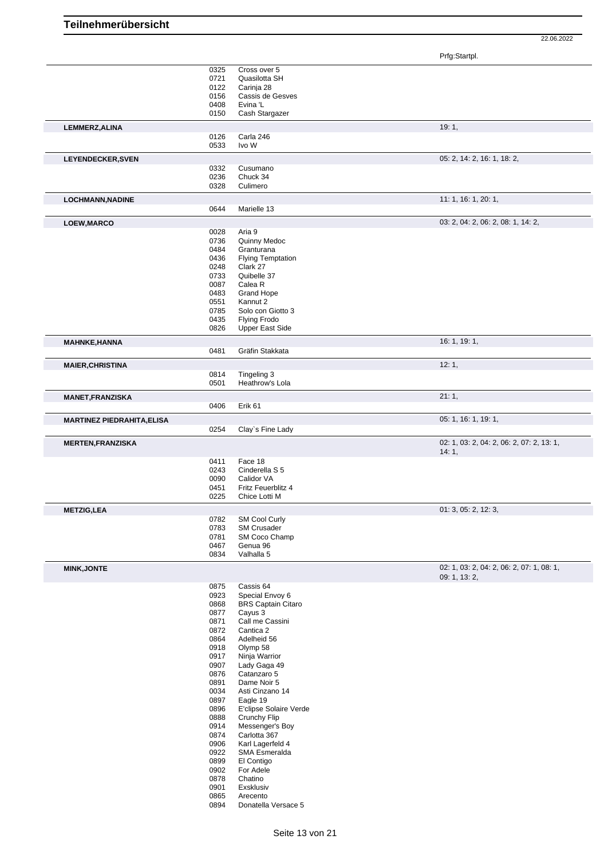|                                   |              |                                               | Prfg:Startpl.                             |
|-----------------------------------|--------------|-----------------------------------------------|-------------------------------------------|
|                                   | 0325         | Cross over 5                                  |                                           |
|                                   | 0721         | Quasilotta SH                                 |                                           |
|                                   | 0122         | Carinja 28                                    |                                           |
|                                   | 0156         | Cassis de Gesves                              |                                           |
|                                   | 0408<br>0150 | Evina 'L<br>Cash Stargazer                    |                                           |
|                                   |              |                                               |                                           |
| LEMMERZ, ALINA                    | 0126         | Carla 246                                     | 19:1,                                     |
|                                   | 0533         | Ivo W                                         |                                           |
| LEYENDECKER, SVEN                 |              |                                               | 05: 2, 14: 2, 16: 1, 18: 2,               |
|                                   | 0332         | Cusumano                                      |                                           |
|                                   | 0236         | Chuck 34                                      |                                           |
|                                   | 0328         | Culimero                                      |                                           |
| <b>LOCHMANN, NADINE</b>           |              |                                               | 11: 1, 16: 1, 20: 1,                      |
|                                   | 0644         | Marielle 13                                   |                                           |
| LOEW, MARCO                       |              |                                               | 03: 2, 04: 2, 06: 2, 08: 1, 14: 2,        |
|                                   | 0028         | Aria 9                                        |                                           |
|                                   | 0736         | Quinny Medoc                                  |                                           |
|                                   | 0484         | Granturana                                    |                                           |
|                                   | 0436         | <b>Flying Temptation</b>                      |                                           |
|                                   | 0248         | Clark 27                                      |                                           |
|                                   | 0733         | Quibelle 37                                   |                                           |
|                                   | 0087         | Calea R                                       |                                           |
|                                   | 0483         | Grand Hope                                    |                                           |
|                                   | 0551         | Kannut 2                                      |                                           |
|                                   | 0785         | Solo con Giotto 3                             |                                           |
|                                   | 0435<br>0826 | <b>Flying Frodo</b><br><b>Upper East Side</b> |                                           |
| <b>MAHNKE, HANNA</b>              |              |                                               | 16: 1, 19: 1,                             |
|                                   | 0481         | Gräfin Stakkata                               |                                           |
| <b>MAIER, CHRISTINA</b>           |              |                                               | 12:1,                                     |
|                                   | 0814         | Tingeling 3                                   |                                           |
|                                   | 0501         | Heathrow's Lola                               |                                           |
| <b>MANET, FRANZISKA</b>           |              |                                               | 21:1,                                     |
|                                   | 0406         | Erik 61                                       |                                           |
| <b>MARTINEZ PIEDRAHITA, ELISA</b> |              |                                               | 05: 1, 16: 1, 19: 1,                      |
|                                   | 0254         | Clay's Fine Lady                              |                                           |
| <b>MERTEN, FRANZISKA</b>          |              |                                               | 02: 1, 03: 2, 04: 2, 06: 2, 07: 2, 13: 1, |
|                                   |              |                                               | 14:1,                                     |
|                                   | 0411         | Face 18                                       |                                           |
|                                   | 0243         | Cinderella S 5                                |                                           |
|                                   | 0090         | Calidor VA                                    |                                           |
|                                   | 0451<br>0225 | Fritz Feuerblitz 4<br>Chice Lotti M           |                                           |
| <b>METZIG,LEA</b>                 |              |                                               | 01: 3, 05: 2, 12: 3,                      |
|                                   | 0782         | SM Cool Curly                                 |                                           |
|                                   | 0783         | <b>SM Crusader</b>                            |                                           |
|                                   | 0781         | SM Coco Champ                                 |                                           |
|                                   | 0467         | Genua 96                                      |                                           |
|                                   | 0834         | Valhalla 5                                    |                                           |
| <b>MINK, JONTE</b>                |              |                                               | 02: 1, 03: 2, 04: 2, 06: 2, 07: 1, 08: 1, |
|                                   |              |                                               | 09: 1, 13: 2,                             |
|                                   | 0875         | Cassis 64                                     |                                           |
|                                   | 0923         | Special Envoy 6                               |                                           |
|                                   | 0868         | <b>BRS Captain Citaro</b>                     |                                           |
|                                   | 0877         | Cayus 3                                       |                                           |
|                                   | 0871         | Call me Cassini<br>Cantica 2                  |                                           |
|                                   | 0872<br>0864 | Adelheid 56                                   |                                           |
|                                   | 0918         | Olymp 58                                      |                                           |
|                                   | 0917         | Ninja Warrior                                 |                                           |
|                                   | 0907         | Lady Gaga 49                                  |                                           |
|                                   | 0876         | Catanzaro 5                                   |                                           |
|                                   | 0891         | Dame Noir 5                                   |                                           |
|                                   | 0034         | Asti Cinzano 14                               |                                           |
|                                   | 0897         | Eagle 19                                      |                                           |
|                                   | 0896         | E'clipse Solaire Verde                        |                                           |
|                                   | 0888         | Crunchy Flip                                  |                                           |
|                                   | 0914         | Messenger's Boy                               |                                           |
|                                   | 0874         | Carlotta 367                                  |                                           |
|                                   | 0906         | Karl Lagerfeld 4                              |                                           |
|                                   | 0922         | SMA Esmeralda                                 |                                           |
|                                   | 0899         | El Contigo                                    |                                           |
|                                   | 0902         | For Adele                                     |                                           |
|                                   | 0878         | Chatino                                       |                                           |
|                                   | 0901         | Exsklusiv                                     |                                           |
|                                   | 0865         | Arecento                                      |                                           |
|                                   | 0894         | Donatella Versace 5                           |                                           |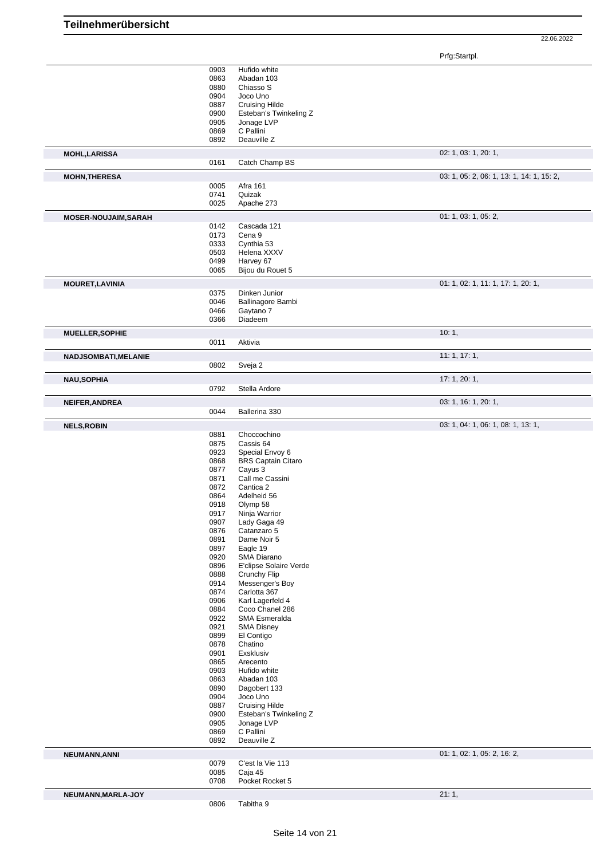Prfg:Startpl.

|                             | 0903 | Hufido white              |                                           |
|-----------------------------|------|---------------------------|-------------------------------------------|
|                             | 0863 | Abadan 103                |                                           |
|                             | 0880 | Chiasso S                 |                                           |
|                             | 0904 | Joco Uno                  |                                           |
|                             | 0887 | <b>Cruising Hilde</b>     |                                           |
|                             | 0900 | Esteban's Twinkeling Z    |                                           |
|                             | 0905 | Jonage LVP                |                                           |
|                             | 0869 | C Pallini                 |                                           |
|                             | 0892 | Deauville Z               |                                           |
|                             |      |                           |                                           |
| <b>MOHL, LARISSA</b>        |      |                           | 02: 1, 03: 1, 20: 1,                      |
|                             | 0161 | Catch Champ BS            |                                           |
|                             |      |                           | 03: 1, 05: 2, 06: 1, 13: 1, 14: 1, 15: 2, |
| <b>MOHN, THERESA</b>        | 0005 | Afra 161                  |                                           |
|                             |      |                           |                                           |
|                             | 0741 | Quizak                    |                                           |
|                             | 0025 | Apache 273                |                                           |
| <b>MOSER-NOUJAIM, SARAH</b> |      |                           | 01: 1, 03: 1, 05: 2,                      |
|                             | 0142 | Cascada 121               |                                           |
|                             | 0173 | Cena 9                    |                                           |
|                             | 0333 | Cynthia 53                |                                           |
|                             | 0503 | Helena XXXV               |                                           |
|                             | 0499 | Harvey 67                 |                                           |
|                             | 0065 | Bijou du Rouet 5          |                                           |
|                             |      |                           |                                           |
| <b>MOURET, LAVINIA</b>      |      |                           | 01: 1, 02: 1, 11: 1, 17: 1, 20: 1,        |
|                             | 0375 | Dinken Junior             |                                           |
|                             | 0046 | Ballinagore Bambi         |                                           |
|                             | 0466 | Gaytano 7                 |                                           |
|                             | 0366 | Diadeem                   |                                           |
|                             |      |                           | 10:1,                                     |
| <b>MUELLER, SOPHIE</b>      |      |                           |                                           |
|                             | 0011 | Aktivia                   |                                           |
| <b>NADJSOMBATI, MELANIE</b> |      |                           | 11:1, 17:1,                               |
|                             | 0802 | Sveja 2                   |                                           |
|                             |      |                           |                                           |
| <b>NAU, SOPHIA</b>          |      |                           | 17:1,20:1,                                |
|                             | 0792 | Stella Ardore             |                                           |
| NEIFER, ANDREA              |      |                           | 03: 1, 16: 1, 20: 1,                      |
|                             | 0044 | Ballerina 330             |                                           |
|                             |      |                           |                                           |
| <b>NELS, ROBIN</b>          |      |                           | 03: 1, 04: 1, 06: 1, 08: 1, 13: 1,        |
|                             | 0881 | Choccochino               |                                           |
|                             | 0875 | Cassis 64                 |                                           |
|                             | 0923 | Special Envoy 6           |                                           |
|                             | 0868 | <b>BRS Captain Citaro</b> |                                           |
|                             | 0877 | Cayus 3                   |                                           |
|                             | 0871 | Call me Cassini           |                                           |
|                             | 0872 | Cantica 2                 |                                           |
|                             | 0864 | Adelheid 56               |                                           |
|                             | 0918 | Olymp 58                  |                                           |
|                             |      | Ninja Warrior             |                                           |
|                             |      |                           |                                           |
|                             | 0917 |                           |                                           |
|                             | 0907 | Lady Gaga 49              |                                           |
|                             | 0876 | Catanzaro 5               |                                           |
|                             | 0891 | Dame Noir 5               |                                           |
|                             | 0897 | Eagle 19                  |                                           |
|                             | 0920 | SMA Diarano               |                                           |
|                             | 0896 | E'clipse Solaire Verde    |                                           |
|                             | 0888 | Crunchy Flip              |                                           |
|                             | 0914 | Messenger's Boy           |                                           |
|                             | 0874 | Carlotta 367              |                                           |
|                             | 0906 | Karl Lagerfeld 4          |                                           |
|                             | 0884 | Coco Chanel 286           |                                           |
|                             | 0922 | SMA Esmeralda             |                                           |
|                             | 0921 | <b>SMA Disney</b>         |                                           |
|                             | 0899 | El Contigo                |                                           |
|                             | 0878 | Chatino                   |                                           |
|                             | 0901 | Exsklusiv                 |                                           |
|                             | 0865 | Arecento                  |                                           |
|                             | 0903 | Hufido white              |                                           |
|                             | 0863 | Abadan 103                |                                           |
|                             | 0890 | Dagobert 133              |                                           |
|                             | 0904 | Joco Uno                  |                                           |
|                             | 0887 | <b>Cruising Hilde</b>     |                                           |
|                             | 0900 | Esteban's Twinkeling Z    |                                           |
|                             | 0905 | Jonage LVP                |                                           |
|                             | 0869 | C Pallini                 |                                           |
|                             | 0892 | Deauville Z               |                                           |
|                             |      |                           |                                           |
| NEUMANN, ANNI               |      |                           | 01: 1, 02: 1, 05: 2, 16: 2,               |
|                             | 0079 | C'est la Vie 113          |                                           |
|                             | 0085 | Caja 45                   |                                           |
|                             | 0708 | Pocket Rocket 5           |                                           |
| NEUMANN, MARLA-JOY          | 0806 | Tabitha 9                 | 21:1,                                     |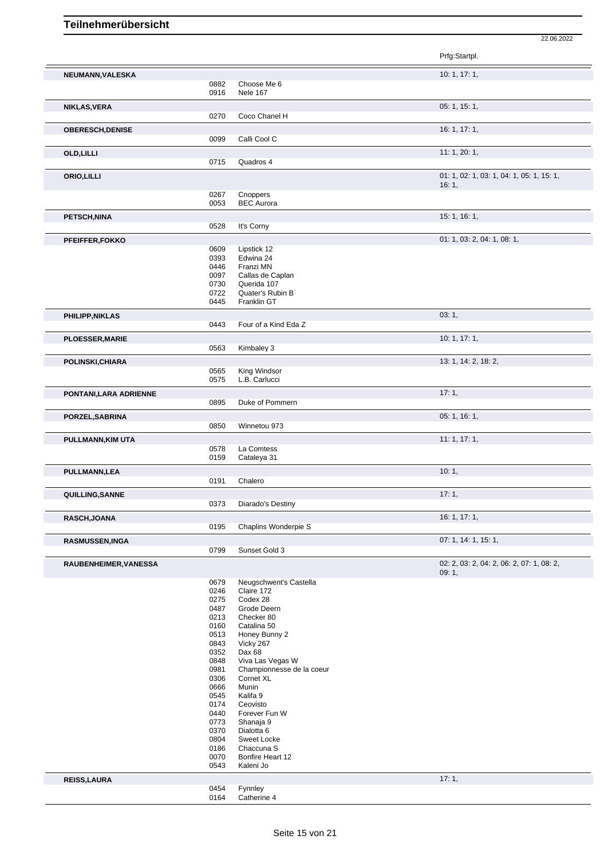|                         |              |                                      | Prfg:Startpl.                                      |
|-------------------------|--------------|--------------------------------------|----------------------------------------------------|
| NEUMANN, VALESKA        |              |                                      | 10: 1, 17: 1,                                      |
|                         | 0882         | Choose Me 6                          |                                                    |
|                         | 0916         | <b>Nele 167</b>                      |                                                    |
| NIKLAS, VERA            |              |                                      | 05: 1, 15: 1,                                      |
|                         | 0270         | Coco Chanel H                        |                                                    |
| <b>OBERESCH, DENISE</b> |              |                                      | 16: 1, 17: 1,                                      |
|                         | 0099         | Calli Cool C                         |                                                    |
| <b>OLD, LILLI</b>       | 0715         | Quadros 4                            | 11: 1, 20: 1,                                      |
|                         |              |                                      |                                                    |
| ORIO, LILLI             |              |                                      | 01: 1, 02: 1, 03: 1, 04: 1, 05: 1, 15: 1,<br>16:1, |
|                         | 0267         | Cnoppers                             |                                                    |
|                         | 0053         | <b>BEC Aurora</b>                    |                                                    |
| PETSCH, NINA            |              |                                      | 15: 1, 16: 1,                                      |
|                         | 0528         | It's Corny                           |                                                    |
| PFEIFFER, FOKKO         |              |                                      | 01: 1, 03: 2, 04: 1, 08: 1,                        |
|                         | 0609         | Lipstick 12                          |                                                    |
|                         | 0393<br>0446 | Edwina 24<br>Franzi MN               |                                                    |
|                         | 0097         | Callas de Caplan                     |                                                    |
|                         | 0730         | Querida 107                          |                                                    |
|                         | 0722         | Quater's Rubin B                     |                                                    |
|                         | 0445         | Franklin GT                          |                                                    |
| PHILIPP, NIKLAS         |              |                                      | 03:1,                                              |
|                         | 0443         | Four of a Kind Eda Z                 |                                                    |
| <b>PLOESSER, MARIE</b>  |              |                                      | 10: 1, 17: 1,                                      |
|                         | 0563         | Kimbaley 3                           |                                                    |
| POLINSKI, CHIARA        |              |                                      | 13: 1, 14: 2, 18: 2,                               |
|                         | 0565         | King Windsor                         |                                                    |
|                         | 0575         | L.B. Carlucci                        |                                                    |
| PONTANI, LARA ADRIENNE  |              |                                      | 17:1,                                              |
|                         | 0895         | Duke of Pommern                      |                                                    |
| PORZEL, SABRINA         |              |                                      | 05: 1, 16: 1,                                      |
|                         | 0850         | Winnetou 973                         |                                                    |
| PULLMANN, KIM UTA       |              |                                      | 11:1, 17:1,                                        |
|                         | 0578         | La Comtess                           |                                                    |
|                         | 0159         | Cataleya 31                          |                                                    |
| PULLMANN,LEA            |              |                                      | 10:1,                                              |
|                         | 0191         | Chalero                              |                                                    |
| QUILLING, SANNE         |              |                                      | 17:1,                                              |
|                         | 0373         | Diarado's Destiny                    |                                                    |
| RASCH, JOANA            |              |                                      | 16: 1, 17: 1,                                      |
|                         | 0195         | Chaplins Wonderpie S                 |                                                    |
| <b>RASMUSSEN,INGA</b>   |              |                                      | 07: 1, 14: 1, 15: 1,                               |
|                         | 0799         | Sunset Gold 3                        |                                                    |
| RAUBENHEIMER, VANESSA   |              |                                      | 02: 2, 03: 2, 04: 2, 06: 2, 07: 1, 08: 2,          |
|                         |              |                                      | 09:1,                                              |
|                         | 0679<br>0246 | Neugschwent's Castella<br>Claire 172 |                                                    |
|                         | 0275         | Codex 28                             |                                                    |
|                         | 0487         | Grode Deern                          |                                                    |
|                         | 0213         | Checker 80                           |                                                    |
|                         | 0160         | Catalina 50                          |                                                    |
|                         | 0513         | Honey Bunny 2                        |                                                    |
|                         | 0843<br>0352 | Vicky 267<br>Dax 68                  |                                                    |
|                         | 0848         | Viva Las Vegas W                     |                                                    |
|                         | 0981         | Championnesse de la coeur            |                                                    |
|                         | 0306         | Cornet XL                            |                                                    |
|                         | 0666         | Munin                                |                                                    |
|                         | 0545         | Kalifa 9                             |                                                    |
|                         | 0174         | Ceovisto                             |                                                    |
|                         | 0440<br>0773 | Forever Fun W<br>Shanaja 9           |                                                    |
|                         | 0370         | Dialotta 6                           |                                                    |
|                         | 0804         | Sweet Locke                          |                                                    |
|                         | 0186         | Chaccuna S                           |                                                    |
|                         | 0070<br>0543 | Bonfire Heart 12<br>Kaleni Jo        |                                                    |
|                         |              |                                      |                                                    |
| <b>REISS, LAURA</b>     |              |                                      | 17:1,                                              |
|                         | 0454<br>0164 | Fynnley<br>Catherine 4               |                                                    |
|                         |              |                                      |                                                    |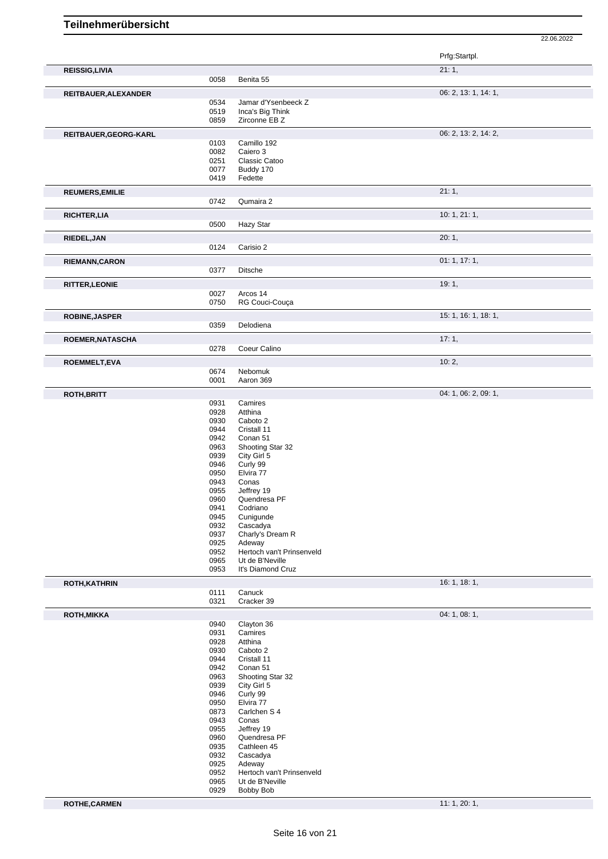|                        |              |                                     | Prfg:Startpl.        |
|------------------------|--------------|-------------------------------------|----------------------|
| <b>REISSIG, LIVIA</b>  |              |                                     | 21:1,                |
|                        | 0058         | Benita 55                           |                      |
| REITBAUER, ALEXANDER   |              |                                     | 06: 2, 13: 1, 14: 1, |
|                        | 0534         | Jamar d'Ysenbeeck Z                 |                      |
|                        | 0519         | Inca's Big Think                    |                      |
|                        | 0859         | Zirconne EB Z                       |                      |
| REITBAUER, GEORG-KARL  |              |                                     | 06: 2, 13: 2, 14: 2, |
|                        | 0103         | Camillo 192                         |                      |
|                        | 0082         | Caiero 3                            |                      |
|                        | 0251         | Classic Catoo                       |                      |
|                        | 0077<br>0419 | Buddy 170<br>Fedette                |                      |
|                        |              |                                     |                      |
| <b>REUMERS, EMILIE</b> |              |                                     | 21:1,                |
|                        | 0742         | Qumaira 2                           |                      |
| <b>RICHTER, LIA</b>    |              |                                     | 10: 1, 21: 1,        |
|                        | 0500         | Hazy Star                           |                      |
| RIEDEL, JAN            |              |                                     | 20:1,                |
|                        | 0124         | Carisio 2                           |                      |
| <b>RIEMANN, CARON</b>  |              |                                     | 01:1, 17:1,          |
|                        | 0377         | Ditsche                             |                      |
|                        |              |                                     |                      |
| <b>RITTER, LEONIE</b>  | 0027         | Arcos 14                            | 19:1,                |
|                        | 0750         | RG Couci-Couça                      |                      |
|                        |              |                                     |                      |
| <b>ROBINE, JASPER</b>  |              | Delodiena                           | 15: 1, 16: 1, 18: 1, |
|                        | 0359         |                                     |                      |
| ROEMER, NATASCHA       |              |                                     | 17:1,                |
|                        | 0278         | Coeur Calino                        |                      |
| <b>ROEMMELT,EVA</b>    |              |                                     | 10:2,                |
|                        | 0674         | Nebomuk                             |                      |
|                        | 0001         | Aaron 369                           |                      |
| <b>ROTH, BRITT</b>     |              |                                     | 04: 1, 06: 2, 09: 1, |
|                        | 0931         | Camires                             |                      |
|                        | 0928         | Atthina                             |                      |
|                        | 0930         | Caboto 2                            |                      |
|                        | 0944<br>0942 | Cristall 11<br>Conan 51             |                      |
|                        | 0963         | Shooting Star 32                    |                      |
|                        | 0939         | City Girl 5                         |                      |
|                        | 0946         | Curly 99                            |                      |
|                        | 0950         | Elvira 77                           |                      |
|                        | 0943         | Conas                               |                      |
|                        | 0955<br>0960 | Jeffrey 19<br>Quendresa PF          |                      |
|                        | 0941         | Codriano                            |                      |
|                        | 0945         | Cunigunde                           |                      |
|                        | 0932         | Cascadya                            |                      |
|                        | 0937         | Charly's Dream R                    |                      |
|                        | 0925<br>0952 | Adeway<br>Hertoch van't Prinsenveld |                      |
|                        | 0965         | Ut de B'Neville                     |                      |
|                        | 0953         | It's Diamond Cruz                   |                      |
| <b>ROTH, KATHRIN</b>   |              |                                     | 16: 1, 18: 1,        |
|                        | 0111         | Canuck                              |                      |
|                        | 0321         | Cracker 39                          |                      |
| <b>ROTH, MIKKA</b>     |              |                                     | 04: 1, 08: 1,        |
|                        | 0940         | Clayton 36                          |                      |
|                        | 0931         | Camires                             |                      |
|                        | 0928         | Atthina                             |                      |
|                        | 0930         | Caboto 2                            |                      |
|                        | 0944         | Cristall 11                         |                      |
|                        | 0942<br>0963 | Conan 51<br>Shooting Star 32        |                      |
|                        | 0939         | City Girl 5                         |                      |
|                        | 0946         | Curly 99                            |                      |
|                        | 0950         | Elvira 77                           |                      |
|                        | 0873         | Carlchen S 4                        |                      |
|                        | 0943         | Conas                               |                      |
|                        | 0955<br>0960 | Jeffrey 19<br>Quendresa PF          |                      |
|                        | 0935         | Cathleen 45                         |                      |
|                        | 0932         | Cascadya                            |                      |
|                        | 0925         | Adeway                              |                      |
|                        | 0952         | Hertoch van't Prinsenveld           |                      |
|                        | 0965         | Ut de B'Neville<br><b>Bobby Bob</b> |                      |
|                        | 0929         |                                     |                      |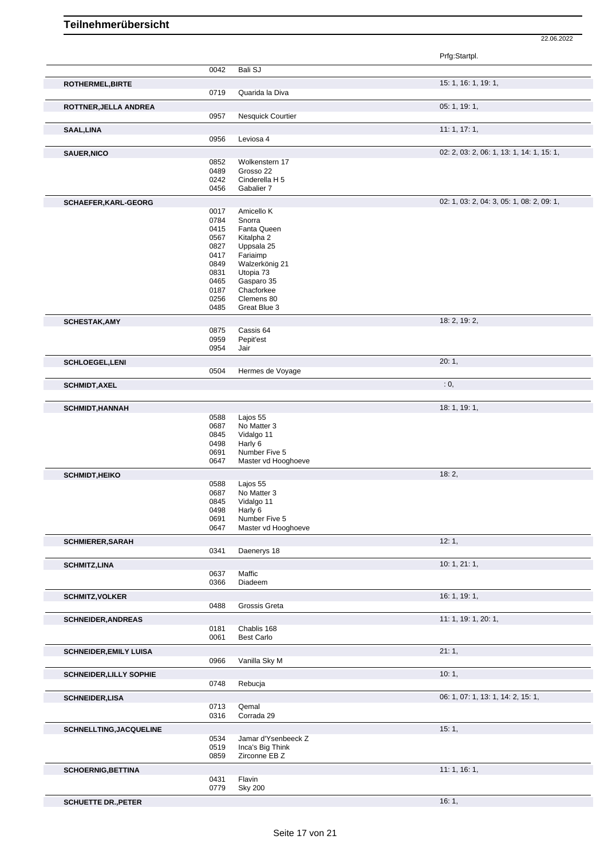|                                |              |                                      | Prfg:Startpl.                             |
|--------------------------------|--------------|--------------------------------------|-------------------------------------------|
|                                | 0042         | Bali SJ                              |                                           |
| ROTHERMEL, BIRTE               |              |                                      | 15: 1, 16: 1, 19: 1,                      |
|                                | 0719         | Quarida la Diva                      |                                           |
| ROTTNER, JELLA ANDREA          |              |                                      | 05: 1, 19: 1,                             |
|                                | 0957         | Nesquick Courtier                    |                                           |
| SAAL, LINA                     |              |                                      | 11:1, 17:1,                               |
|                                | 0956         | Leviosa 4                            |                                           |
| <b>SAUER, NICO</b>             |              |                                      | 02: 2, 03: 2, 06: 1, 13: 1, 14: 1, 15: 1, |
|                                | 0852         | Wolkenstern 17                       |                                           |
|                                | 0489         | Grosso 22                            |                                           |
|                                | 0242<br>0456 | Cinderella H 5<br>Gabalier 7         |                                           |
|                                |              |                                      |                                           |
| SCHAEFER, KARL-GEORG           | 0017         | Amicello K                           | 02: 1, 03: 2, 04: 3, 05: 1, 08: 2, 09: 1, |
|                                | 0784         | Snorra                               |                                           |
|                                | 0415         | Fanta Queen                          |                                           |
|                                | 0567         | Kitalpha 2                           |                                           |
|                                | 0827         | Uppsala 25                           |                                           |
|                                | 0417<br>0849 | Fariaimp<br>Walzerkönig 21           |                                           |
|                                | 0831         | Utopia 73                            |                                           |
|                                | 0465         | Gasparo 35                           |                                           |
|                                | 0187         | Chacforkee                           |                                           |
|                                | 0256         | Clemens 80                           |                                           |
|                                | 0485         | Great Blue 3                         |                                           |
| <b>SCHESTAK, AMY</b>           | 0875         | Cassis 64                            | 18: 2, 19: 2,                             |
|                                | 0959         | Pepit'est                            |                                           |
|                                | 0954         | Jair                                 |                                           |
| <b>SCHLOEGEL,LENI</b>          |              |                                      | 20:1,                                     |
|                                | 0504         | Hermes de Voyage                     |                                           |
| <b>SCHMIDT, AXEL</b>           |              |                                      | : 0,                                      |
|                                |              |                                      |                                           |
| <b>SCHMIDT, HANNAH</b>         |              |                                      | 18: 1, 19: 1,                             |
|                                | 0588         | Lajos 55                             |                                           |
|                                | 0687         | No Matter 3                          |                                           |
|                                | 0845         | Vidalgo 11                           |                                           |
|                                | 0498<br>0691 | Harly 6                              |                                           |
|                                | 0647         | Number Five 5<br>Master vd Hooghoeve |                                           |
|                                |              |                                      | 18:2,                                     |
| <b>SCHMIDT, HEIKO</b>          | 0588         | Lajos 55                             |                                           |
|                                | 0687         | No Matter 3                          |                                           |
|                                | 0845         | Vidalgo 11                           |                                           |
|                                | 0498         | Harly 6                              |                                           |
|                                | 0691         | Number Five 5                        |                                           |
|                                | 0647         | Master vd Hooghoeve                  |                                           |
| <b>SCHMIERER, SARAH</b>        |              |                                      | 12:1,                                     |
|                                | 0341         | Daenerys 18                          |                                           |
| <b>SCHMITZ,LINA</b>            | 0637         | Maffic                               | 10: 1, 21: 1,                             |
|                                | 0366         | Diadeem                              |                                           |
| <b>SCHMITZ, VOLKER</b>         |              |                                      | 16: 1, 19: 1,                             |
|                                | 0488         | Grossis Greta                        |                                           |
| <b>SCHNEIDER, ANDREAS</b>      |              |                                      | 11: 1, 19: 1, 20: 1,                      |
|                                | 0181         | Chablis 168                          |                                           |
|                                | 0061         | <b>Best Carlo</b>                    |                                           |
| <b>SCHNEIDER, EMILY LUISA</b>  |              |                                      | 21:1,                                     |
|                                | 0966         | Vanilla Sky M                        |                                           |
| <b>SCHNEIDER, LILLY SOPHIE</b> |              |                                      | 10:1,                                     |
|                                | 0748         | Rebucja                              |                                           |
| <b>SCHNEIDER, LISA</b>         |              |                                      | 06: 1, 07: 1, 13: 1, 14: 2, 15: 1,        |
|                                | 0713         | Qemal                                |                                           |
|                                | 0316         | Corrada 29                           |                                           |
| <b>SCHNELLTING, JACQUELINE</b> |              |                                      | 15:1,                                     |
|                                | 0534         | Jamar d'Ysenbeeck Z                  |                                           |
|                                | 0519         | Inca's Big Think                     |                                           |
|                                | 0859         | Zirconne EB Z                        |                                           |
| <b>SCHOERNIG, BETTINA</b>      |              |                                      | 11:1, 16:1,                               |
|                                | 0431         | Flavin                               |                                           |
|                                | 0779         | <b>Sky 200</b>                       |                                           |
| <b>SCHUETTE DR., PETER</b>     |              |                                      | 16:1,                                     |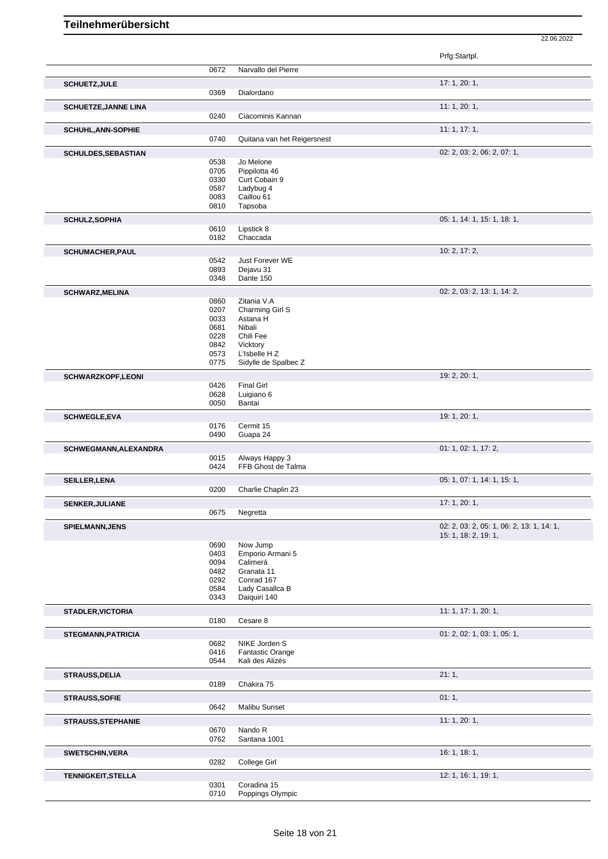|                             |              |                                            | Prfg:Startpl.                             |
|-----------------------------|--------------|--------------------------------------------|-------------------------------------------|
|                             | 0672         | Narvallo del Pierre                        |                                           |
| <b>SCHUETZ, JULE</b>        |              |                                            | 17:1,20:1,                                |
|                             | 0369         | Dialordano                                 |                                           |
| <b>SCHUETZE, JANNE LINA</b> |              |                                            | 11:1,20:1,                                |
|                             | 0240         | Ciacominis Kannan                          |                                           |
| <b>SCHUHL, ANN-SOPHIE</b>   |              |                                            | 11:1, 17:1,                               |
|                             | 0740         | Quitana van het Reigersnest                |                                           |
| SCHULDES, SEBASTIAN         |              |                                            | 02: 2, 03: 2, 06: 2, 07: 1,               |
|                             | 0538         | Jo Melone                                  |                                           |
|                             | 0705         | Pippilotta 46                              |                                           |
|                             | 0330         | Curt Cobain 9                              |                                           |
|                             | 0587<br>0083 | Ladybug 4<br>Caillou 61                    |                                           |
|                             | 0810         | Tapsoba                                    |                                           |
| <b>SCHULZ, SOPHIA</b>       |              |                                            | 05: 1, 14: 1, 15: 1, 18: 1,               |
|                             | 0610         | Lipstick 8                                 |                                           |
|                             | 0182         | Chaccada                                   |                                           |
| <b>SCHUMACHER, PAUL</b>     |              |                                            | 10: 2, 17: 2,                             |
|                             | 0542         | Just Forever WE                            |                                           |
|                             | 0893         | Dejavu 31                                  |                                           |
|                             | 0348         | Dante 150                                  |                                           |
| <b>SCHWARZ, MELINA</b>      |              |                                            | 02: 2, 03: 2, 13: 1, 14: 2,               |
|                             | 0860         | Zitania V.A                                |                                           |
|                             | 0207<br>0033 | Charming Girl S<br>Astana H                |                                           |
|                             | 0681         | Nibali                                     |                                           |
|                             | 0228         | Chili Fee                                  |                                           |
|                             | 0842         | Vicktory                                   |                                           |
|                             | 0573         | L'Isbelle H Z                              |                                           |
|                             | 0775         | Sidylle de Spalbec Z                       |                                           |
| SCHWARZKOPF,LEONI           |              |                                            | 19: 2, 20: 1,                             |
|                             | 0426<br>0628 | <b>Final Girl</b><br>Luigiano 6            |                                           |
|                             | 0050         | Bantai                                     |                                           |
| <b>SCHWEGLE,EVA</b>         |              |                                            | 19: 1, 20: 1,                             |
|                             | 0176         | Cermit 15                                  |                                           |
|                             | 0490         | Guapa 24                                   |                                           |
| SCHWEGMANN, ALEXANDRA       |              |                                            | 01: 1, 02: 1, 17: 2,                      |
|                             | 0015         | Always Happy 3                             |                                           |
|                             | 0424         | FFB Ghost de Talma                         |                                           |
| <b>SEILLER, LENA</b>        |              |                                            | 05: 1, 07: 1, 14: 1, 15: 1,               |
|                             | 0200         | Charlie Chaplin 23                         |                                           |
| <b>SENKER, JULIANE</b>      |              |                                            | 17: 1, 20: 1,                             |
|                             | 0675         | Negretta                                   |                                           |
| SPIELMANN, JENS             |              |                                            | 02: 2, 03: 2, 05: 1, 06: 2, 13: 1, 14: 1, |
|                             |              |                                            | 15: 1, 18: 2, 19: 1,                      |
|                             | 0690         | Now Jump                                   |                                           |
|                             | 0403<br>0094 | Emporio Armani 5<br>Calimerá               |                                           |
|                             | 0482         | Granata 11                                 |                                           |
|                             | 0292         | Conrad 167                                 |                                           |
|                             | 0584         | Lady Casallca B                            |                                           |
|                             | 0343         | Daiguiri 140                               |                                           |
| <b>STADLER, VICTORIA</b>    |              |                                            | 11: 1, 17: 1, 20: 1,                      |
|                             | 0180         | Cesare 8                                   |                                           |
| <b>STEGMANN, PATRICIA</b>   |              |                                            | 01: 2, 02: 1, 03: 1, 05: 1,               |
|                             | 0682         | NIKE Jorden S                              |                                           |
|                             | 0416<br>0544 | <b>Fantastic Orange</b><br>Kali des Alizés |                                           |
|                             |              |                                            |                                           |
| STRAUSS, DELIA              | 0189         | Chakira 75                                 | 21:1,                                     |
|                             |              |                                            |                                           |
| <b>STRAUSS, SOFIE</b>       | 0642         | Malibu Sunset                              | 01:1,                                     |
|                             |              |                                            |                                           |
| <b>STRAUSS, STEPHANIE</b>   | 0670         | Nando R                                    | 11: 1, 20: 1,                             |
|                             | 0762         | Santana 1001                               |                                           |
|                             |              |                                            | 16:1, 18:1,                               |
| <b>SWETSCHIN, VERA</b>      | 0282         | College Girl                               |                                           |
|                             |              |                                            |                                           |
| <b>TENNIGKEIT, STELLA</b>   | 0301         | Coradina 15                                | 12: 1, 16: 1, 19: 1,                      |
|                             | 0710         | Poppings Olympic                           |                                           |
|                             |              |                                            |                                           |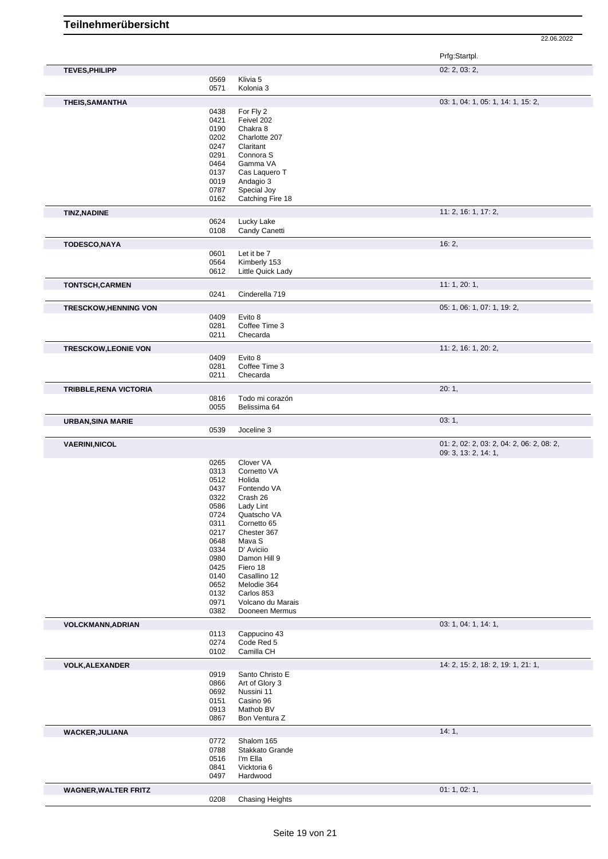|                               |                                             | Prfg:Startpl.                             |
|-------------------------------|---------------------------------------------|-------------------------------------------|
| <b>TEVES, PHILIPP</b>         |                                             | 02: 2, 03: 2,                             |
|                               | Klivia 5<br>0569                            |                                           |
|                               | 0571<br>Kolonia 3                           |                                           |
| THEIS, SAMANTHA               |                                             | 03: 1, 04: 1, 05: 1, 14: 1, 15: 2,        |
|                               | 0438<br>For Fly 2                           |                                           |
|                               | 0421<br>Feivel 202                          |                                           |
|                               | 0190<br>Chakra 8                            |                                           |
|                               | 0202<br>Charlotte 207                       |                                           |
|                               | 0247<br>Claritant                           |                                           |
|                               | 0291<br>Connora <sub>S</sub>                |                                           |
|                               | 0464<br>Gamma VA                            |                                           |
|                               | 0137<br>Cas Laquero T                       |                                           |
|                               | 0019<br>Andagio 3                           |                                           |
|                               | 0787<br>Special Joy                         |                                           |
|                               | 0162<br>Catching Fire 18                    |                                           |
| <b>TINZ, NADINE</b>           |                                             | 11: 2, 16: 1, 17: 2,                      |
|                               | Lucky Lake<br>0624                          |                                           |
|                               | 0108<br>Candy Canetti                       |                                           |
| TODESCO, NAYA                 |                                             | 16:2,                                     |
|                               | 0601<br>Let it be 7                         |                                           |
|                               | 0564<br>Kimberly 153                        |                                           |
|                               | 0612<br>Little Quick Lady                   |                                           |
| <b>TONTSCH,CARMEN</b>         |                                             | 11:1,20:1,                                |
|                               | 0241<br>Cinderella 719                      |                                           |
| <b>TRESCKOW, HENNING VON</b>  |                                             | 05: 1, 06: 1, 07: 1, 19: 2,               |
|                               | 0409<br>Evito 8                             |                                           |
|                               | Coffee Time 3<br>0281                       |                                           |
|                               | 0211<br>Checarda                            |                                           |
|                               |                                             | 11: 2, 16: 1, 20: 2,                      |
| <b>TRESCKOW,LEONIE VON</b>    | 0409<br>Evito 8                             |                                           |
|                               | 0281<br>Coffee Time 3                       |                                           |
|                               | 0211<br>Checarda                            |                                           |
|                               |                                             |                                           |
| <b>TRIBBLE, RENA VICTORIA</b> | 0816<br>Todo mi corazón                     | 20:1,                                     |
|                               | 0055<br>Belissima 64                        |                                           |
|                               |                                             | 03:1,                                     |
| <b>URBAN, SINA MARIE</b>      | 0539<br>Joceline 3                          |                                           |
|                               |                                             |                                           |
| <b>VAERINI, NICOL</b>         |                                             | 01: 2, 02: 2, 03: 2, 04: 2, 06: 2, 08: 2, |
|                               | 0265<br>Clover VA                           | 09: 3, 13: 2, 14: 1,                      |
|                               | 0313<br>Cornetto VA                         |                                           |
|                               | 0512<br>Holida                              |                                           |
|                               | 0437<br>Fontendo VA                         |                                           |
|                               | 0322<br>Crash 26                            |                                           |
|                               | 0586<br>Lady Lint                           |                                           |
|                               | 0724<br>Quatscho VA                         |                                           |
|                               | 0311<br>Cornetto 65                         |                                           |
|                               | 0217<br>Chester 367                         |                                           |
|                               | 0648<br>Mava S                              |                                           |
|                               | D' Aviciio<br>0334                          |                                           |
|                               | 0980<br>Damon Hill 9                        |                                           |
|                               | 0425<br>Fiero 18                            |                                           |
|                               | 0140<br>Casallino 12                        |                                           |
|                               | 0652<br>Melodie 364                         |                                           |
|                               | 0132<br>Carlos 853<br>0971                  |                                           |
|                               | Volcano du Marais<br>0382<br>Dooneen Mermus |                                           |
|                               |                                             |                                           |
| <b>VOLCKMANN, ADRIAN</b>      | 0113<br>Cappucino 43                        | 03: 1, 04: 1, 14: 1,                      |
|                               | Code Red 5<br>0274                          |                                           |
|                               | Camilla CH<br>0102                          |                                           |
|                               |                                             | 14: 2, 15: 2, 18: 2, 19: 1, 21: 1,        |
| <b>VOLK, ALEXANDER</b>        | 0919<br>Santo Christo E                     |                                           |
|                               | 0866<br>Art of Glory 3                      |                                           |
|                               | 0692<br>Nussini 11                          |                                           |
|                               | 0151<br>Casino 96                           |                                           |
|                               | 0913<br>Mathob BV                           |                                           |
|                               | 0867<br>Bon Ventura Z                       |                                           |
| <b>WACKER, JULIANA</b>        |                                             | 14:1,                                     |
|                               | 0772<br>Shalom 165                          |                                           |
|                               | 0788<br>Stakkato Grande                     |                                           |
|                               | 0516<br>I'm Ella                            |                                           |
|                               | 0841<br>Vicktoria 6                         |                                           |
|                               | 0497<br>Hardwood                            |                                           |
| <b>WAGNER, WALTER FRITZ</b>   |                                             | 01: 1, 02: 1,                             |
|                               | 0208<br><b>Chasing Heights</b>              |                                           |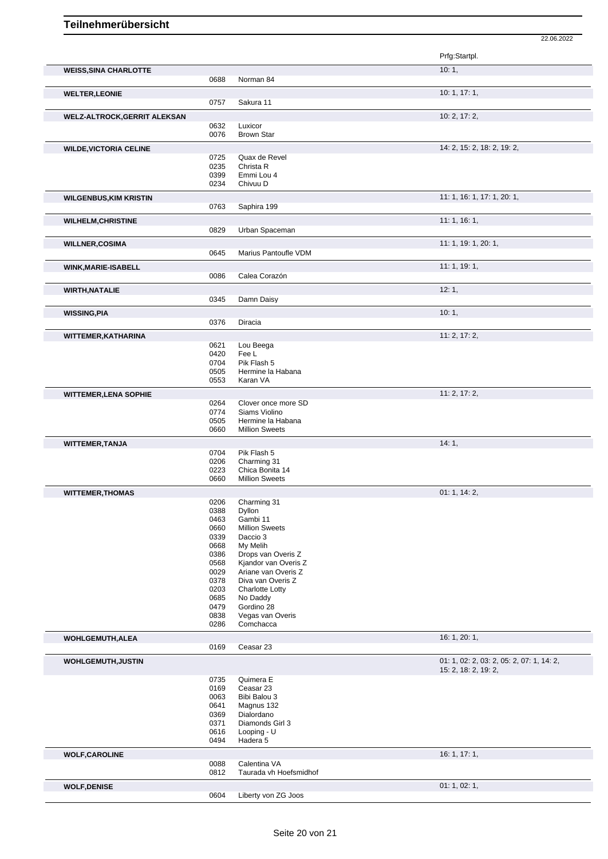| Prfg:Startpl.<br>10:1,<br><b>WEISS, SINA CHARLOTTE</b><br>0688<br>Norman 84<br>10: 1, 17: 1,<br><b>WELTER, LEONIE</b><br>0757<br>Sakura 11<br>10: 2, 17: 2,<br><b>WELZ-ALTROCK, GERRIT ALEKSAN</b><br>0632<br>Luxicor<br>0076<br><b>Brown Star</b><br>14: 2, 15: 2, 18: 2, 19: 2,<br><b>WILDE, VICTORIA CELINE</b><br>0725<br>Quax de Revel<br>0235<br>Christa R<br>0399<br>Emmi Lou 4<br>0234<br>Chivuu D<br>11: 1, 16: 1, 17: 1, 20: 1,<br><b>WILGENBUS, KIM KRISTIN</b><br>0763<br>Saphira 199<br>11:1, 16:1,<br><b>WILHELM, CHRISTINE</b><br>0829<br>Urban Spaceman<br>11: 1, 19: 1, 20: 1,<br><b>WILLNER,COSIMA</b><br>0645<br>Marius Pantoufle VDM<br>11: 1, 19: 1,<br>WINK, MARIE-ISABELL<br>Calea Corazón<br>0086<br>12:1,<br><b>WIRTH, NATALIE</b><br>Damn Daisy<br>0345<br>10:1,<br>0376<br>Diracia |
|---------------------------------------------------------------------------------------------------------------------------------------------------------------------------------------------------------------------------------------------------------------------------------------------------------------------------------------------------------------------------------------------------------------------------------------------------------------------------------------------------------------------------------------------------------------------------------------------------------------------------------------------------------------------------------------------------------------------------------------------------------------------------------------------------------------|
|                                                                                                                                                                                                                                                                                                                                                                                                                                                                                                                                                                                                                                                                                                                                                                                                               |
|                                                                                                                                                                                                                                                                                                                                                                                                                                                                                                                                                                                                                                                                                                                                                                                                               |
|                                                                                                                                                                                                                                                                                                                                                                                                                                                                                                                                                                                                                                                                                                                                                                                                               |
|                                                                                                                                                                                                                                                                                                                                                                                                                                                                                                                                                                                                                                                                                                                                                                                                               |
|                                                                                                                                                                                                                                                                                                                                                                                                                                                                                                                                                                                                                                                                                                                                                                                                               |
|                                                                                                                                                                                                                                                                                                                                                                                                                                                                                                                                                                                                                                                                                                                                                                                                               |
|                                                                                                                                                                                                                                                                                                                                                                                                                                                                                                                                                                                                                                                                                                                                                                                                               |
|                                                                                                                                                                                                                                                                                                                                                                                                                                                                                                                                                                                                                                                                                                                                                                                                               |
|                                                                                                                                                                                                                                                                                                                                                                                                                                                                                                                                                                                                                                                                                                                                                                                                               |
|                                                                                                                                                                                                                                                                                                                                                                                                                                                                                                                                                                                                                                                                                                                                                                                                               |
|                                                                                                                                                                                                                                                                                                                                                                                                                                                                                                                                                                                                                                                                                                                                                                                                               |
|                                                                                                                                                                                                                                                                                                                                                                                                                                                                                                                                                                                                                                                                                                                                                                                                               |
|                                                                                                                                                                                                                                                                                                                                                                                                                                                                                                                                                                                                                                                                                                                                                                                                               |
|                                                                                                                                                                                                                                                                                                                                                                                                                                                                                                                                                                                                                                                                                                                                                                                                               |
|                                                                                                                                                                                                                                                                                                                                                                                                                                                                                                                                                                                                                                                                                                                                                                                                               |
|                                                                                                                                                                                                                                                                                                                                                                                                                                                                                                                                                                                                                                                                                                                                                                                                               |
|                                                                                                                                                                                                                                                                                                                                                                                                                                                                                                                                                                                                                                                                                                                                                                                                               |
|                                                                                                                                                                                                                                                                                                                                                                                                                                                                                                                                                                                                                                                                                                                                                                                                               |
|                                                                                                                                                                                                                                                                                                                                                                                                                                                                                                                                                                                                                                                                                                                                                                                                               |
|                                                                                                                                                                                                                                                                                                                                                                                                                                                                                                                                                                                                                                                                                                                                                                                                               |
|                                                                                                                                                                                                                                                                                                                                                                                                                                                                                                                                                                                                                                                                                                                                                                                                               |
|                                                                                                                                                                                                                                                                                                                                                                                                                                                                                                                                                                                                                                                                                                                                                                                                               |
|                                                                                                                                                                                                                                                                                                                                                                                                                                                                                                                                                                                                                                                                                                                                                                                                               |
|                                                                                                                                                                                                                                                                                                                                                                                                                                                                                                                                                                                                                                                                                                                                                                                                               |
|                                                                                                                                                                                                                                                                                                                                                                                                                                                                                                                                                                                                                                                                                                                                                                                                               |
|                                                                                                                                                                                                                                                                                                                                                                                                                                                                                                                                                                                                                                                                                                                                                                                                               |
| 11: 2, 17: 2,<br>WITTEMER, KATHARINA                                                                                                                                                                                                                                                                                                                                                                                                                                                                                                                                                                                                                                                                                                                                                                          |
| 0621<br>Lou Beega                                                                                                                                                                                                                                                                                                                                                                                                                                                                                                                                                                                                                                                                                                                                                                                             |
| 0420<br>Fee L                                                                                                                                                                                                                                                                                                                                                                                                                                                                                                                                                                                                                                                                                                                                                                                                 |
| 0704<br>Pik Flash 5<br>0505<br>Hermine la Habana                                                                                                                                                                                                                                                                                                                                                                                                                                                                                                                                                                                                                                                                                                                                                              |
| 0553<br>Karan VA                                                                                                                                                                                                                                                                                                                                                                                                                                                                                                                                                                                                                                                                                                                                                                                              |
|                                                                                                                                                                                                                                                                                                                                                                                                                                                                                                                                                                                                                                                                                                                                                                                                               |
| 11: 2, 17: 2,<br><b>WITTEMER, LENA SOPHIE</b><br>0264<br>Clover once more SD                                                                                                                                                                                                                                                                                                                                                                                                                                                                                                                                                                                                                                                                                                                                  |
| 0774<br>Siams Violino                                                                                                                                                                                                                                                                                                                                                                                                                                                                                                                                                                                                                                                                                                                                                                                         |
| 0505<br>Hermine la Habana                                                                                                                                                                                                                                                                                                                                                                                                                                                                                                                                                                                                                                                                                                                                                                                     |
| 0660<br><b>Million Sweets</b>                                                                                                                                                                                                                                                                                                                                                                                                                                                                                                                                                                                                                                                                                                                                                                                 |
| 14:1,<br><b>WITTEMER, TANJA</b>                                                                                                                                                                                                                                                                                                                                                                                                                                                                                                                                                                                                                                                                                                                                                                               |
| Pik Flash 5<br>0704                                                                                                                                                                                                                                                                                                                                                                                                                                                                                                                                                                                                                                                                                                                                                                                           |
| 0206<br>Charming 31                                                                                                                                                                                                                                                                                                                                                                                                                                                                                                                                                                                                                                                                                                                                                                                           |
| 0223<br>Chica Bonita 14                                                                                                                                                                                                                                                                                                                                                                                                                                                                                                                                                                                                                                                                                                                                                                                       |

|                           | 0223                                                                                                                                                                                         | Chica Bonita 14                                                                                                                                                                           |                                                                   |
|---------------------------|----------------------------------------------------------------------------------------------------------------------------------------------------------------------------------------------|-------------------------------------------------------------------------------------------------------------------------------------------------------------------------------------------|-------------------------------------------------------------------|
|                           | 0660                                                                                                                                                                                         | <b>Million Sweets</b>                                                                                                                                                                     |                                                                   |
| <b>WITTEMER, THOMAS</b>   | 0206<br>0388<br>Dyllon<br>Gambi 11<br>0463<br>0660<br>0339<br>Daccio 3<br>0668<br>My Melih<br>0386<br>0568<br>0029<br>0378<br>0203<br>0685<br>No Daddy<br>0479<br>Gordino 28<br>0838<br>0286 | Charming 31<br><b>Million Sweets</b><br>Drops van Overis Z<br>Kjandor van Overis Z<br>Ariane van Overis Z<br>Diva van Overis Z<br><b>Charlotte Lotty</b><br>Vegas van Overis<br>Comchacca | 01: 1, 14: 2,                                                     |
| <b>WOHLGEMUTH, ALEA</b>   |                                                                                                                                                                                              |                                                                                                                                                                                           | 16: 1, 20: 1,                                                     |
|                           | 0169<br>Ceasar 23                                                                                                                                                                            |                                                                                                                                                                                           |                                                                   |
| <b>WOHLGEMUTH, JUSTIN</b> |                                                                                                                                                                                              |                                                                                                                                                                                           | 01: 1, 02: 2, 03: 2, 05: 2, 07: 1, 14: 2,<br>15: 2, 18: 2, 19: 2, |
|                           | Quimera E<br>0735<br>0169<br>Ceasar 23<br>0063<br>0641<br>0369<br>Dialordano<br>0371<br>0616<br>Looping - U<br>0494<br>Hadera <sub>5</sub>                                                   | Bibi Balou 3<br>Magnus 132<br>Diamonds Girl 3                                                                                                                                             |                                                                   |
| <b>WOLF, CAROLINE</b>     |                                                                                                                                                                                              |                                                                                                                                                                                           | 16: 1, 17: 1,                                                     |
|                           | 0088<br>0812                                                                                                                                                                                 | Calentina VA<br>Taurada vh Hoefsmidhof                                                                                                                                                    |                                                                   |

**WOLF, DENISE** 01: 1, 02: 1, 02: 1, 0604 Liberty von ZG Joos Liberty von ZG Joos